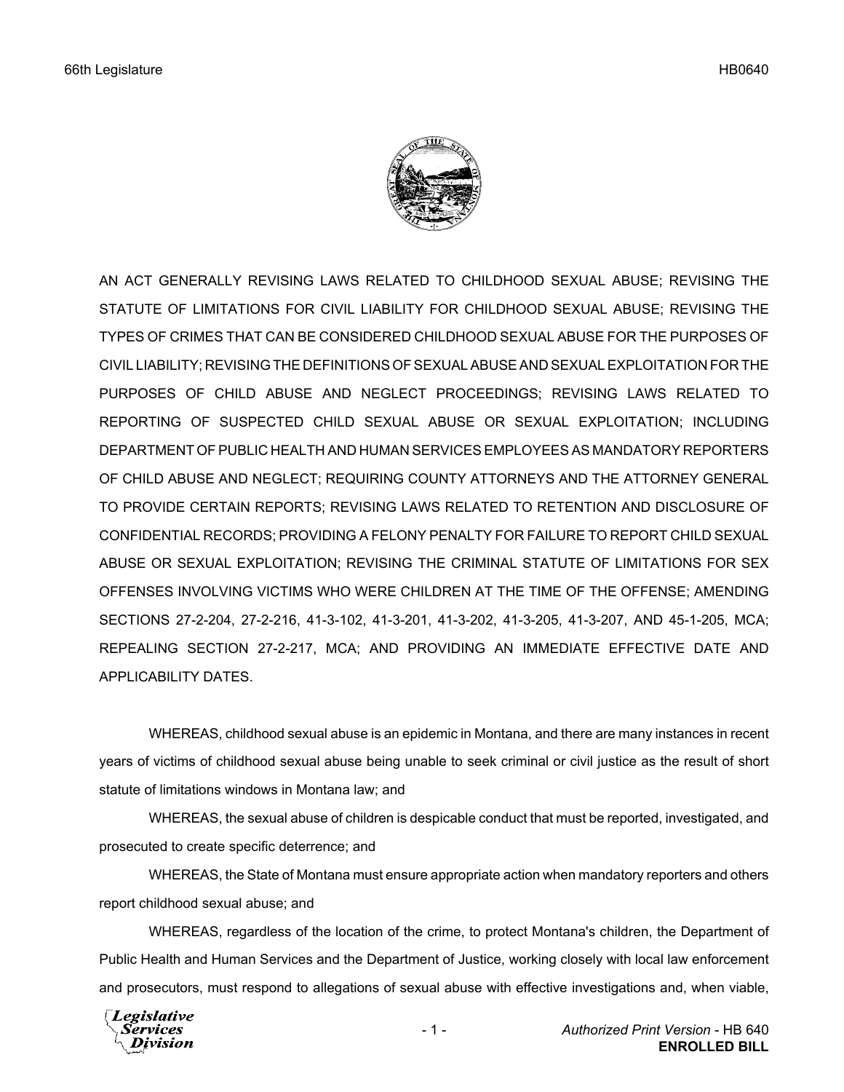

AN ACT GENERALLY REVISING LAWS RELATED TO CHILDHOOD SEXUAL ABUSE; REVISING THE STATUTE OF LIMITATIONS FOR CIVIL LIABILITY FOR CHILDHOOD SEXUAL ABUSE; REVISING THE TYPES OF CRIMES THAT CAN BE CONSIDERED CHILDHOOD SEXUAL ABUSE FOR THE PURPOSES OF CIVIL LIABILITY; REVISING THE DEFINITIONS OF SEXUAL ABUSE AND SEXUAL EXPLOITATION FOR THE PURPOSES OF CHILD ABUSE AND NEGLECT PROCEEDINGS; REVISING LAWS RELATED TO REPORTING OF SUSPECTED CHILD SEXUAL ABUSE OR SEXUAL EXPLOITATION; INCLUDING DEPARTMENT OF PUBLIC HEALTH AND HUMAN SERVICES EMPLOYEES AS MANDATORY REPORTERS OF CHILD ABUSE AND NEGLECT; REQUIRING COUNTY ATTORNEYS AND THE ATTORNEY GENERAL TO PROVIDE CERTAIN REPORTS; REVISING LAWS RELATED TO RETENTION AND DISCLOSURE OF CONFIDENTIAL RECORDS; PROVIDING A FELONY PENALTY FOR FAILURE TO REPORT CHILD SEXUAL ABUSE OR SEXUAL EXPLOITATION; REVISING THE CRIMINAL STATUTE OF LIMITATIONS FOR SEX OFFENSES INVOLVING VICTIMS WHO WERE CHILDREN AT THE TIME OF THE OFFENSE; AMENDING SECTIONS 27-2-204, 27-2-216, 41-3-102, 41-3-201, 41-3-202, 41-3-205, 41-3-207, AND 45-1-205, MCA; REPEALING SECTION 27-2-217, MCA; AND PROVIDING AN IMMEDIATE EFFECTIVE DATE AND APPLICABILITY DATES.

WHEREAS, childhood sexual abuse is an epidemic in Montana, and there are many instances in recent years of victims of childhood sexual abuse being unable to seek criminal or civil justice as the result of short statute of limitations windows in Montana law; and

WHEREAS, the sexual abuse of children is despicable conduct that must be reported, investigated, and prosecuted to create specific deterrence; and

WHEREAS, the State of Montana must ensure appropriate action when mandatory reporters and others report childhood sexual abuse; and

WHEREAS, regardless of the location of the crime, to protect Montana's children, the Department of Public Health and Human Services and the Department of Justice, working closely with local law enforcement and prosecutors, must respond to allegations of sexual abuse with effective investigations and, when viable,

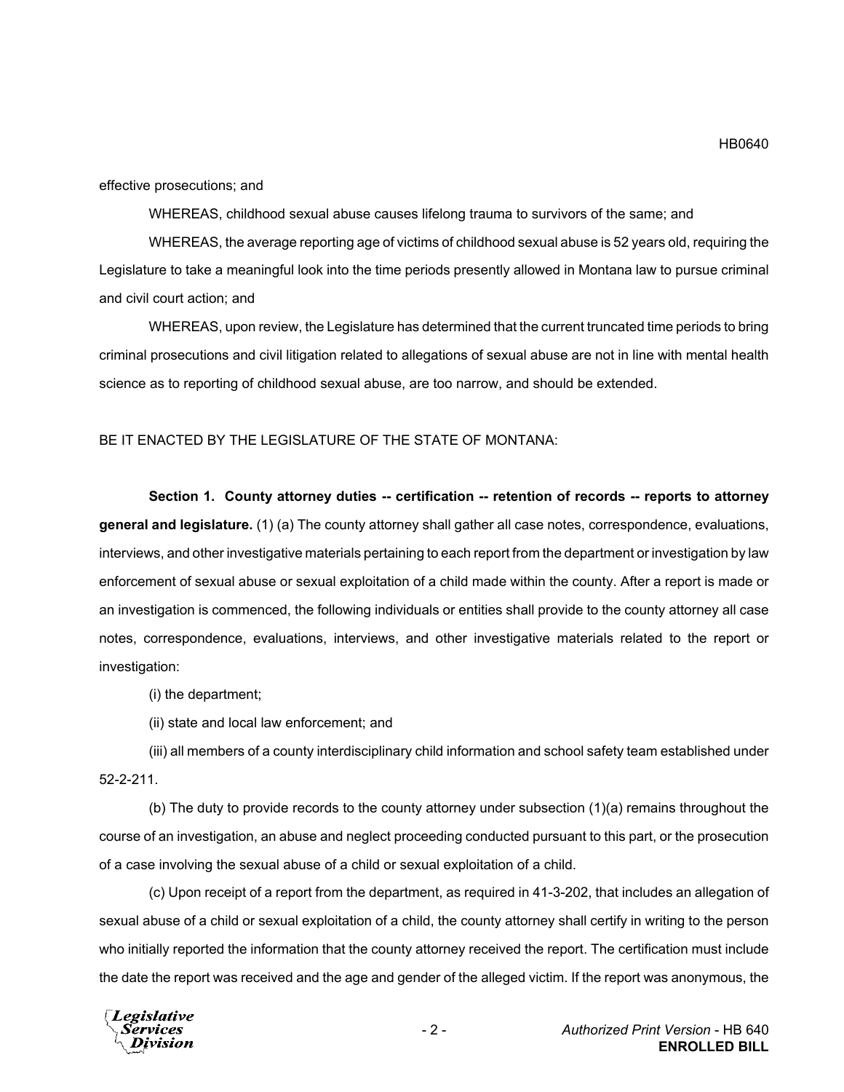effective prosecutions; and

WHEREAS, childhood sexual abuse causes lifelong trauma to survivors of the same; and

WHEREAS, the average reporting age of victims of childhood sexual abuse is 52 years old, requiring the Legislature to take a meaningful look into the time periods presently allowed in Montana law to pursue criminal and civil court action; and

WHEREAS, upon review, the Legislature has determined that the current truncated time periods to bring criminal prosecutions and civil litigation related to allegations of sexual abuse are not in line with mental health science as to reporting of childhood sexual abuse, are too narrow, and should be extended.

### BE IT ENACTED BY THE LEGISLATURE OF THE STATE OF MONTANA:

**Section 1. County attorney duties -- certification -- retention of records -- reports to attorney general and legislature.** (1) (a) The county attorney shall gather all case notes, correspondence, evaluations, interviews, and other investigative materials pertaining to each report from the department or investigation by law enforcement of sexual abuse or sexual exploitation of a child made within the county. After a report is made or an investigation is commenced, the following individuals or entities shall provide to the county attorney all case notes, correspondence, evaluations, interviews, and other investigative materials related to the report or investigation:

(i) the department;

(ii) state and local law enforcement; and

(iii) all members of a county interdisciplinary child information and school safety team established under 52-2-211.

(b) The duty to provide records to the county attorney under subsection (1)(a) remains throughout the course of an investigation, an abuse and neglect proceeding conducted pursuant to this part, or the prosecution of a case involving the sexual abuse of a child or sexual exploitation of a child.

(c) Upon receipt of a report from the department, as required in 41-3-202, that includes an allegation of sexual abuse of a child or sexual exploitation of a child, the county attorney shall certify in writing to the person who initially reported the information that the county attorney received the report. The certification must include the date the report was received and the age and gender of the alleged victim. If the report was anonymous, the

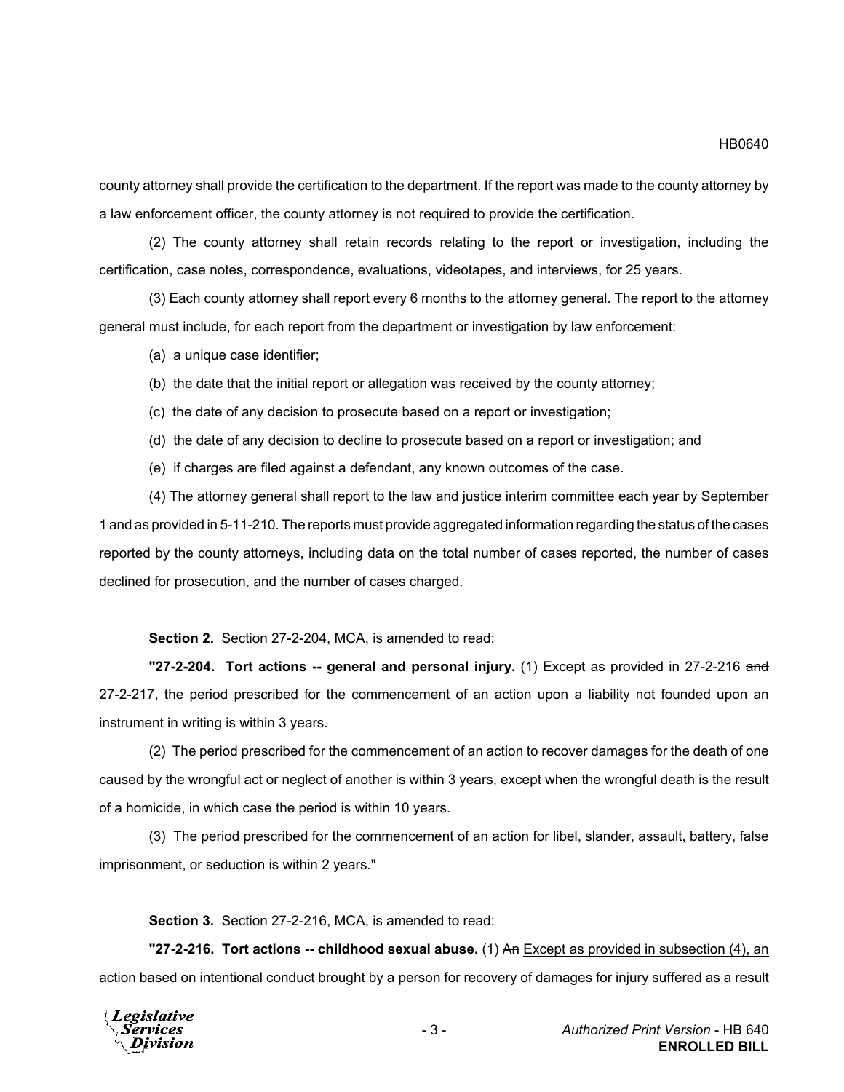county attorney shall provide the certification to the department. If the report was made to the county attorney by a law enforcement officer, the county attorney is not required to provide the certification.

(2) The county attorney shall retain records relating to the report or investigation, including the certification, case notes, correspondence, evaluations, videotapes, and interviews, for 25 years.

(3) Each county attorney shall report every 6 months to the attorney general. The report to the attorney general must include, for each report from the department or investigation by law enforcement:

(a) a unique case identifier;

- (b) the date that the initial report or allegation was received by the county attorney;
- (c) the date of any decision to prosecute based on a report or investigation;
- (d) the date of any decision to decline to prosecute based on a report or investigation; and
- (e) if charges are filed against a defendant, any known outcomes of the case.

(4) The attorney general shall report to the law and justice interim committee each year by September 1 and as provided in 5-11-210. The reports must provide aggregated information regarding the status of the cases reported by the county attorneys, including data on the total number of cases reported, the number of cases declined for prosecution, and the number of cases charged.

**Section 2.** Section 27-2-204, MCA, is amended to read:

**"27-2-204. Tort actions -- general and personal injury.** (1) Except as provided in 27-2-216 and 27-2-217, the period prescribed for the commencement of an action upon a liability not founded upon an instrument in writing is within 3 years.

(2) The period prescribed for the commencement of an action to recover damages for the death of one caused by the wrongful act or neglect of another is within 3 years, except when the wrongful death is the result of a homicide, in which case the period is within 10 years.

(3) The period prescribed for the commencement of an action for libel, slander, assault, battery, false imprisonment, or seduction is within 2 years."

**Section 3.** Section 27-2-216, MCA, is amended to read:

**"27-2-216. Tort actions -- childhood sexual abuse.** (1) An Except as provided in subsection (4), an action based on intentional conduct brought by a person for recovery of damages for injury suffered as a result

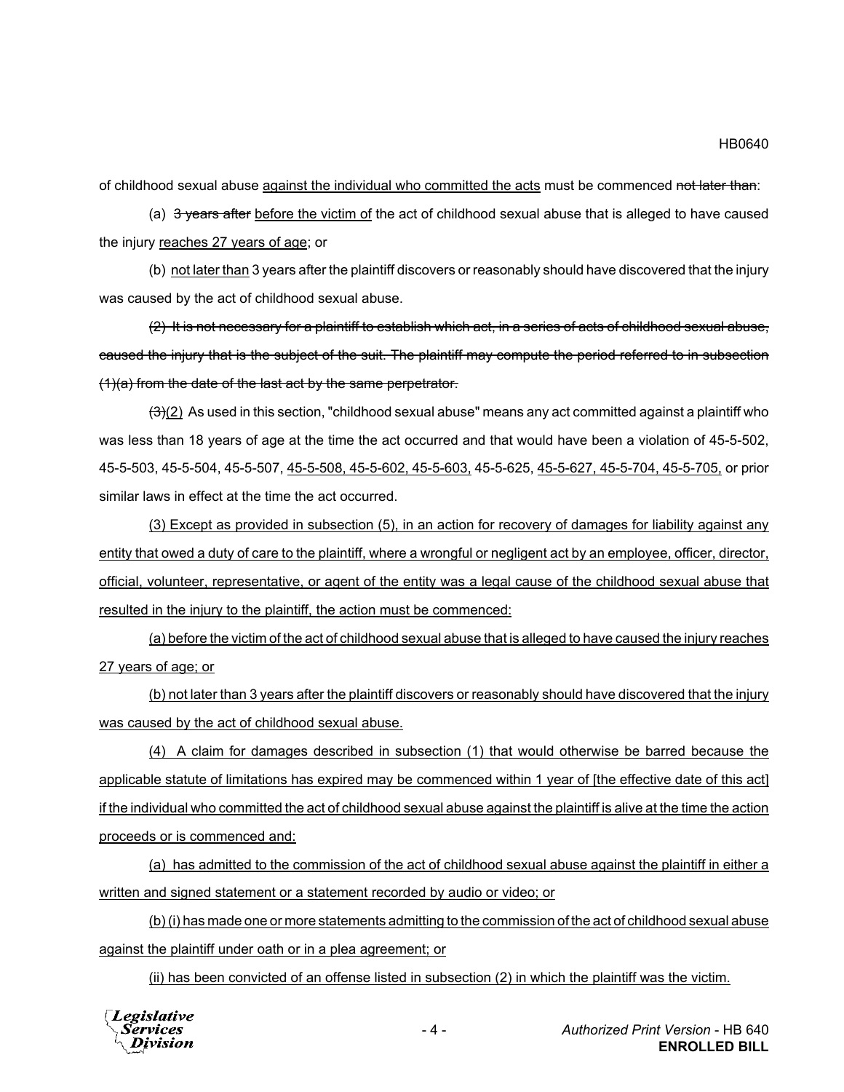of childhood sexual abuse against the individual who committed the acts must be commenced not later than:

(a)  $3$  years after before the victim of the act of childhood sexual abuse that is alleged to have caused the injury reaches 27 years of age; or

(b) not later than 3 years after the plaintiff discovers or reasonably should have discovered that the injury was caused by the act of childhood sexual abuse.

(2) It is not necessary for a plaintiff to establish which act, in a series of acts of childhood sexual abuse, caused the injury that is the subject of the suit. The plaintiff may compute the period referred to in subsection (1)(a) from the date of the last act by the same perpetrator.

 $(3)(2)$  As used in this section, "childhood sexual abuse" means any act committed against a plaintiff who was less than 18 years of age at the time the act occurred and that would have been a violation of 45-5-502, 45-5-503, 45-5-504, 45-5-507, 45-5-508, 45-5-602, 45-5-603, 45-5-625, 45-5-627, 45-5-704, 45-5-705, or prior similar laws in effect at the time the act occurred.

(3) Except as provided in subsection (5), in an action for recovery of damages for liability against any entity that owed a duty of care to the plaintiff, where a wrongful or negligent act by an employee, officer, director, official, volunteer, representative, or agent of the entity was a legal cause of the childhood sexual abuse that resulted in the injury to the plaintiff, the action must be commenced:

(a) before the victim of the act of childhood sexual abuse that is alleged to have caused the injury reaches 27 years of age; or

(b) not later than 3 years after the plaintiff discovers or reasonably should have discovered that the injury was caused by the act of childhood sexual abuse.

(4) A claim for damages described in subsection (1) that would otherwise be barred because the applicable statute of limitations has expired may be commenced within 1 year of [the effective date of this act] if the individual who committed the act of childhood sexual abuse against the plaintiff is alive at the time the action proceeds or is commenced and:

(a) has admitted to the commission of the act of childhood sexual abuse against the plaintiff in either a written and signed statement or a statement recorded by audio or video; or

(b) (i) has made one or more statements admitting to the commission of the act of childhood sexual abuse against the plaintiff under oath or in a plea agreement; or

(ii) has been convicted of an offense listed in subsection (2) in which the plaintiff was the victim.



HB0640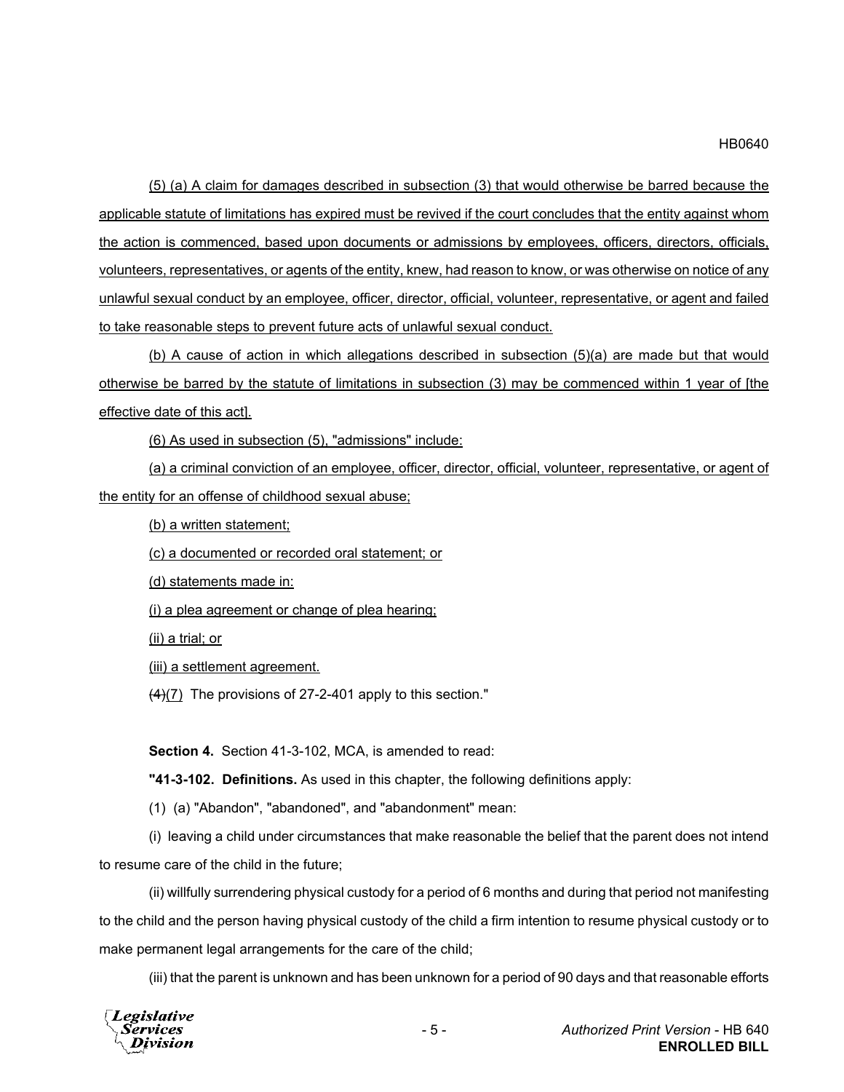### HB0640

(5) (a) A claim for damages described in subsection (3) that would otherwise be barred because the applicable statute of limitations has expired must be revived if the court concludes that the entity against whom the action is commenced, based upon documents or admissions by employees, officers, directors, officials, volunteers, representatives, or agents of the entity, knew, had reason to know, or was otherwise on notice of any unlawful sexual conduct by an employee, officer, director, official, volunteer, representative, or agent and failed to take reasonable steps to prevent future acts of unlawful sexual conduct.

(b) A cause of action in which allegations described in subsection (5)(a) are made but that would otherwise be barred by the statute of limitations in subsection (3) may be commenced within 1 year of [the effective date of this act].

(6) As used in subsection (5), "admissions" include:

(a) a criminal conviction of an employee, officer, director, official, volunteer, representative, or agent of the entity for an offense of childhood sexual abuse;

(b) a written statement;

(c) a documented or recorded oral statement; or

(d) statements made in:

(i) a plea agreement or change of plea hearing;

(ii) a trial; or

(iii) a settlement agreement.

 $\left(\frac{4}{7}\right)$  The provisions of 27-2-401 apply to this section."

**Section 4.** Section 41-3-102, MCA, is amended to read:

**"41-3-102. Definitions.** As used in this chapter, the following definitions apply:

(1) (a) "Abandon", "abandoned", and "abandonment" mean:

(i) leaving a child under circumstances that make reasonable the belief that the parent does not intend to resume care of the child in the future;

(ii) willfully surrendering physical custody for a period of 6 months and during that period not manifesting to the child and the person having physical custody of the child a firm intention to resume physical custody or to make permanent legal arrangements for the care of the child;

(iii) that the parent is unknown and has been unknown for a period of 90 days and that reasonable efforts

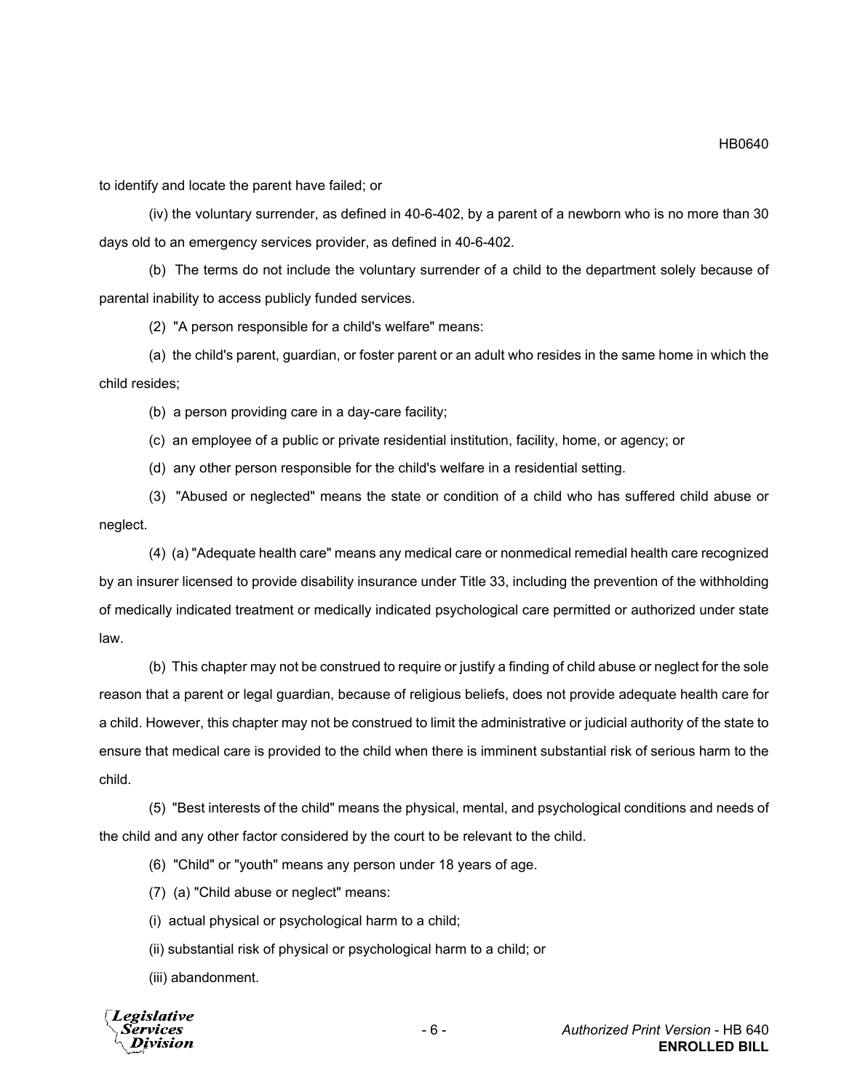to identify and locate the parent have failed; or

(iv) the voluntary surrender, as defined in 40-6-402, by a parent of a newborn who is no more than 30 days old to an emergency services provider, as defined in 40-6-402.

(b) The terms do not include the voluntary surrender of a child to the department solely because of parental inability to access publicly funded services.

(2) "A person responsible for a child's welfare" means:

(a) the child's parent, guardian, or foster parent or an adult who resides in the same home in which the child resides;

(b) a person providing care in a day-care facility;

(c) an employee of a public or private residential institution, facility, home, or agency; or

(d) any other person responsible for the child's welfare in a residential setting.

(3) "Abused or neglected" means the state or condition of a child who has suffered child abuse or neglect.

(4) (a) "Adequate health care" means any medical care or nonmedical remedial health care recognized by an insurer licensed to provide disability insurance under Title 33, including the prevention of the withholding of medically indicated treatment or medically indicated psychological care permitted or authorized under state law.

(b) This chapter may not be construed to require or justify a finding of child abuse or neglect for the sole reason that a parent or legal guardian, because of religious beliefs, does not provide adequate health care for a child. However, this chapter may not be construed to limit the administrative or judicial authority of the state to ensure that medical care is provided to the child when there is imminent substantial risk of serious harm to the child.

(5) "Best interests of the child" means the physical, mental, and psychological conditions and needs of the child and any other factor considered by the court to be relevant to the child.

(6) "Child" or "youth" means any person under 18 years of age.

(7) (a) "Child abuse or neglect" means:

(i) actual physical or psychological harm to a child;

(ii) substantial risk of physical or psychological harm to a child; or

(iii) abandonment.



HB0640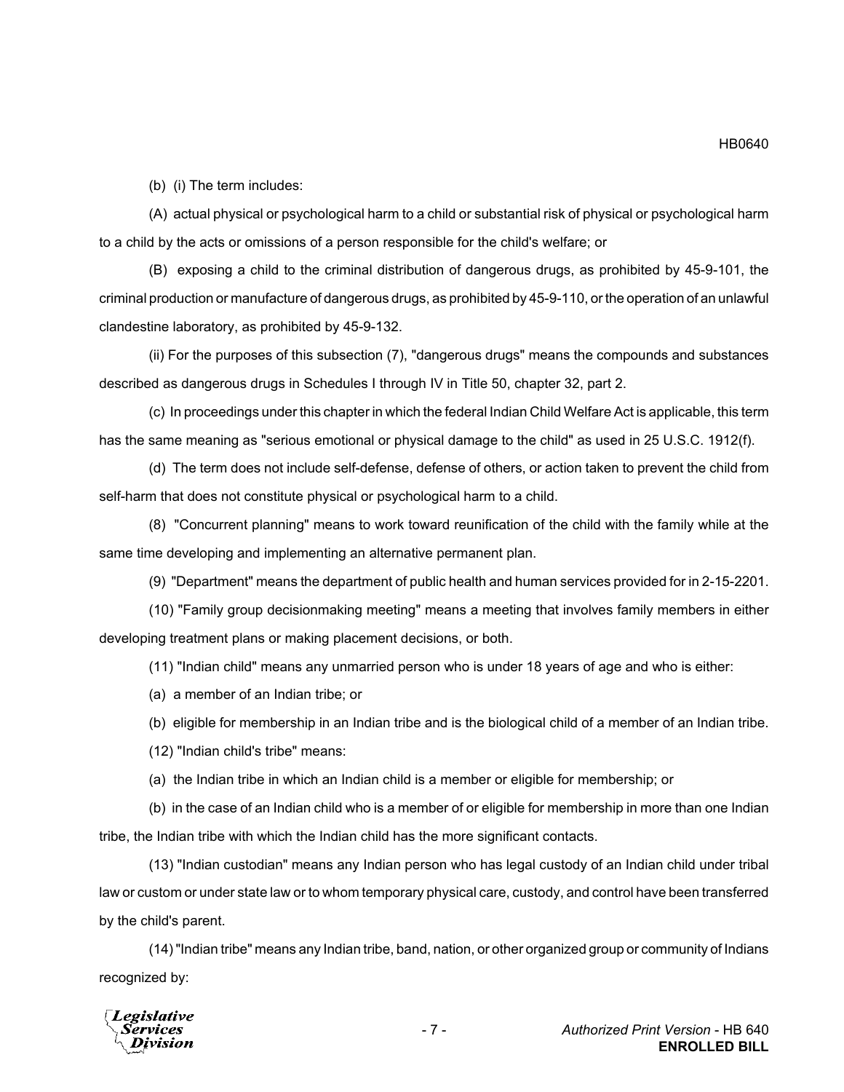(b) (i) The term includes:

(A) actual physical or psychological harm to a child or substantial risk of physical or psychological harm to a child by the acts or omissions of a person responsible for the child's welfare; or

(B) exposing a child to the criminal distribution of dangerous drugs, as prohibited by 45-9-101, the criminal production or manufacture of dangerous drugs, as prohibited by 45-9-110, or the operation of an unlawful clandestine laboratory, as prohibited by 45-9-132.

(ii) For the purposes of this subsection (7), "dangerous drugs" means the compounds and substances described as dangerous drugs in Schedules I through IV in Title 50, chapter 32, part 2.

(c) In proceedings under this chapter in which the federal Indian Child Welfare Act is applicable, this term has the same meaning as "serious emotional or physical damage to the child" as used in 25 U.S.C. 1912(f).

(d) The term does not include self-defense, defense of others, or action taken to prevent the child from self-harm that does not constitute physical or psychological harm to a child.

(8) "Concurrent planning" means to work toward reunification of the child with the family while at the same time developing and implementing an alternative permanent plan.

(9) "Department" means the department of public health and human services provided for in 2-15-2201.

(10) "Family group decisionmaking meeting" means a meeting that involves family members in either developing treatment plans or making placement decisions, or both.

(11) "Indian child" means any unmarried person who is under 18 years of age and who is either:

(a) a member of an Indian tribe; or

(b) eligible for membership in an Indian tribe and is the biological child of a member of an Indian tribe.

(12) "Indian child's tribe" means:

(a) the Indian tribe in which an Indian child is a member or eligible for membership; or

(b) in the case of an Indian child who is a member of or eligible for membership in more than one Indian tribe, the Indian tribe with which the Indian child has the more significant contacts.

(13) "Indian custodian" means any Indian person who has legal custody of an Indian child under tribal law or custom or under state law or to whom temporary physical care, custody, and control have been transferred by the child's parent.

(14) "Indian tribe" means any Indian tribe, band, nation, or other organized group or community of Indians recognized by:

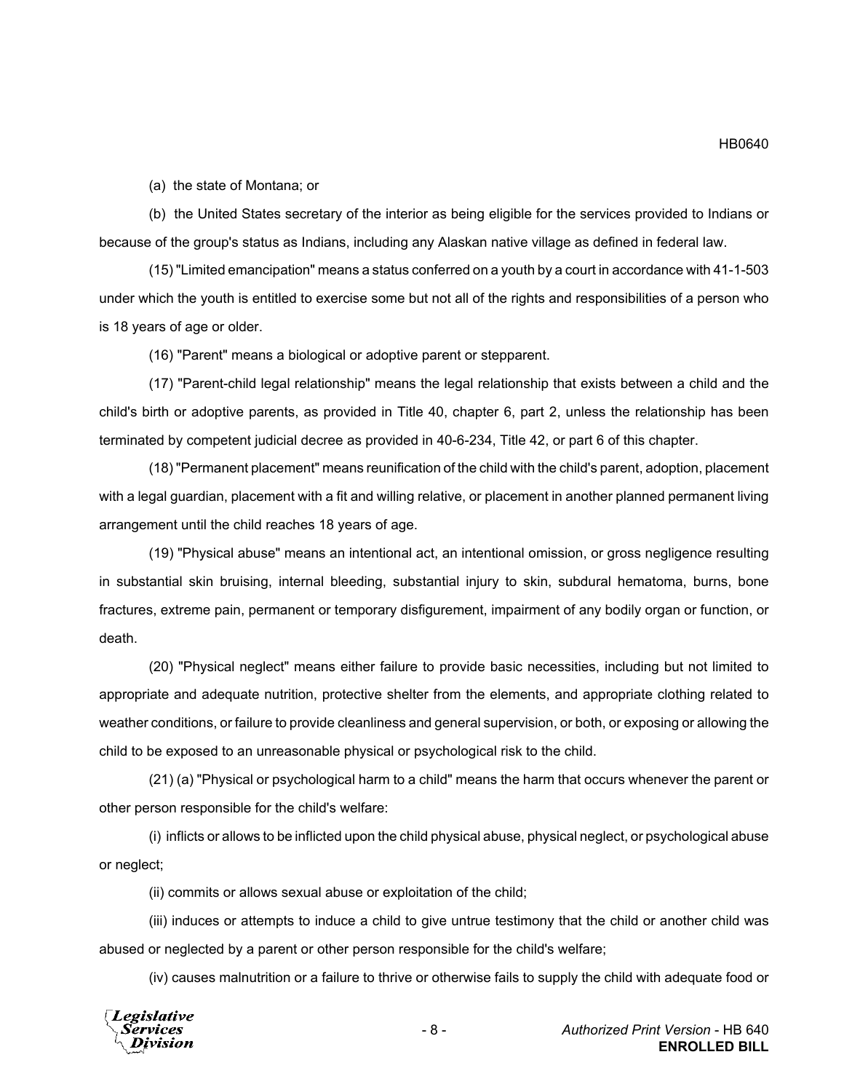(a) the state of Montana; or

(b) the United States secretary of the interior as being eligible for the services provided to Indians or because of the group's status as Indians, including any Alaskan native village as defined in federal law.

(15) "Limited emancipation" means a status conferred on a youth by a court in accordance with 41-1-503 under which the youth is entitled to exercise some but not all of the rights and responsibilities of a person who is 18 years of age or older.

(16) "Parent" means a biological or adoptive parent or stepparent.

(17) "Parent-child legal relationship" means the legal relationship that exists between a child and the child's birth or adoptive parents, as provided in Title 40, chapter 6, part 2, unless the relationship has been terminated by competent judicial decree as provided in 40-6-234, Title 42, or part 6 of this chapter.

(18) "Permanent placement" means reunification of the child with the child's parent, adoption, placement with a legal guardian, placement with a fit and willing relative, or placement in another planned permanent living arrangement until the child reaches 18 years of age.

(19) "Physical abuse" means an intentional act, an intentional omission, or gross negligence resulting in substantial skin bruising, internal bleeding, substantial injury to skin, subdural hematoma, burns, bone fractures, extreme pain, permanent or temporary disfigurement, impairment of any bodily organ or function, or death.

(20) "Physical neglect" means either failure to provide basic necessities, including but not limited to appropriate and adequate nutrition, protective shelter from the elements, and appropriate clothing related to weather conditions, or failure to provide cleanliness and general supervision, or both, or exposing or allowing the child to be exposed to an unreasonable physical or psychological risk to the child.

(21) (a) "Physical or psychological harm to a child" means the harm that occurs whenever the parent or other person responsible for the child's welfare:

(i) inflicts or allows to be inflicted upon the child physical abuse, physical neglect, or psychological abuse or neglect;

(ii) commits or allows sexual abuse or exploitation of the child;

(iii) induces or attempts to induce a child to give untrue testimony that the child or another child was abused or neglected by a parent or other person responsible for the child's welfare;

(iv) causes malnutrition or a failure to thrive or otherwise fails to supply the child with adequate food or



HB0640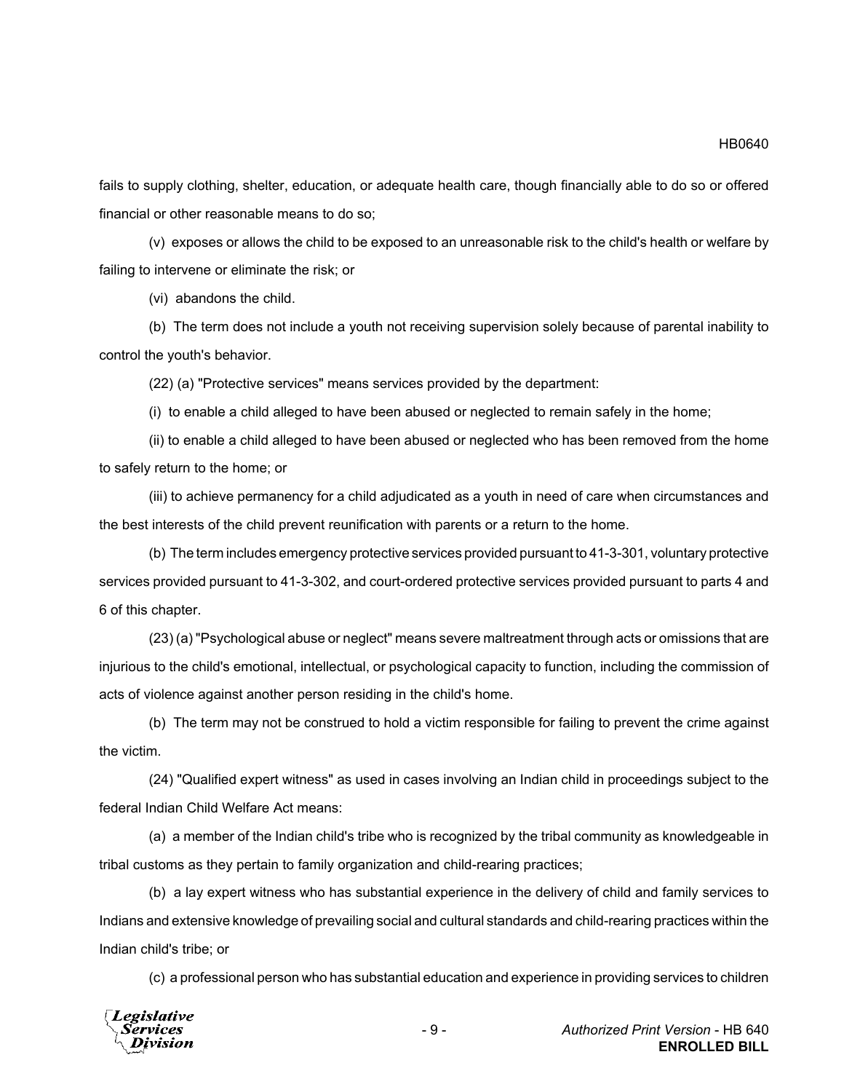fails to supply clothing, shelter, education, or adequate health care, though financially able to do so or offered financial or other reasonable means to do so;

(v) exposes or allows the child to be exposed to an unreasonable risk to the child's health or welfare by failing to intervene or eliminate the risk; or

(vi) abandons the child.

(b) The term does not include a youth not receiving supervision solely because of parental inability to control the youth's behavior.

(22) (a) "Protective services" means services provided by the department:

(i) to enable a child alleged to have been abused or neglected to remain safely in the home;

(ii) to enable a child alleged to have been abused or neglected who has been removed from the home to safely return to the home; or

(iii) to achieve permanency for a child adjudicated as a youth in need of care when circumstances and the best interests of the child prevent reunification with parents or a return to the home.

(b) The term includes emergency protective services provided pursuant to 41-3-301, voluntary protective services provided pursuant to 41-3-302, and court-ordered protective services provided pursuant to parts 4 and 6 of this chapter.

(23) (a) "Psychological abuse or neglect" means severe maltreatment through acts or omissions that are injurious to the child's emotional, intellectual, or psychological capacity to function, including the commission of acts of violence against another person residing in the child's home.

(b) The term may not be construed to hold a victim responsible for failing to prevent the crime against the victim.

(24) "Qualified expert witness" as used in cases involving an Indian child in proceedings subject to the federal Indian Child Welfare Act means:

(a) a member of the Indian child's tribe who is recognized by the tribal community as knowledgeable in tribal customs as they pertain to family organization and child-rearing practices;

(b) a lay expert witness who has substantial experience in the delivery of child and family services to Indians and extensive knowledge of prevailing social and cultural standards and child-rearing practices within the Indian child's tribe; or

(c) a professional person who has substantial education and experience in providing services to children

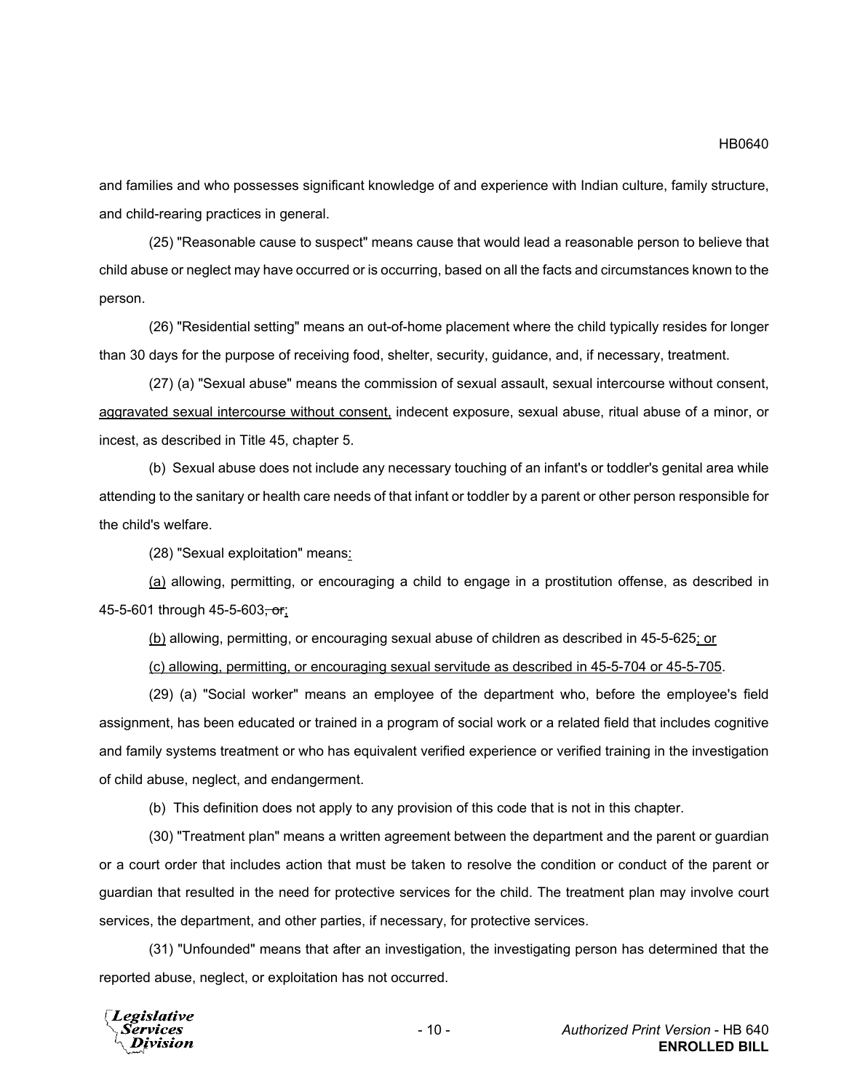and families and who possesses significant knowledge of and experience with Indian culture, family structure, and child-rearing practices in general.

(25) "Reasonable cause to suspect" means cause that would lead a reasonable person to believe that child abuse or neglect may have occurred or is occurring, based on all the facts and circumstances known to the person.

(26) "Residential setting" means an out-of-home placement where the child typically resides for longer than 30 days for the purpose of receiving food, shelter, security, guidance, and, if necessary, treatment.

(27) (a) "Sexual abuse" means the commission of sexual assault, sexual intercourse without consent, aggravated sexual intercourse without consent, indecent exposure, sexual abuse, ritual abuse of a minor, or incest, as described in Title 45, chapter 5.

(b) Sexual abuse does not include any necessary touching of an infant's or toddler's genital area while attending to the sanitary or health care needs of that infant or toddler by a parent or other person responsible for the child's welfare.

(28) "Sexual exploitation" means:

(a) allowing, permitting, or encouraging a child to engage in a prostitution offense, as described in 45-5-601 through 45-5-603, or;

(b) allowing, permitting, or encouraging sexual abuse of children as described in 45-5-625; or

(c) allowing, permitting, or encouraging sexual servitude as described in 45-5-704 or 45-5-705.

(29) (a) "Social worker" means an employee of the department who, before the employee's field assignment, has been educated or trained in a program of social work or a related field that includes cognitive and family systems treatment or who has equivalent verified experience or verified training in the investigation of child abuse, neglect, and endangerment.

(b) This definition does not apply to any provision of this code that is not in this chapter.

(30) "Treatment plan" means a written agreement between the department and the parent or guardian or a court order that includes action that must be taken to resolve the condition or conduct of the parent or guardian that resulted in the need for protective services for the child. The treatment plan may involve court services, the department, and other parties, if necessary, for protective services.

(31) "Unfounded" means that after an investigation, the investigating person has determined that the reported abuse, neglect, or exploitation has not occurred.

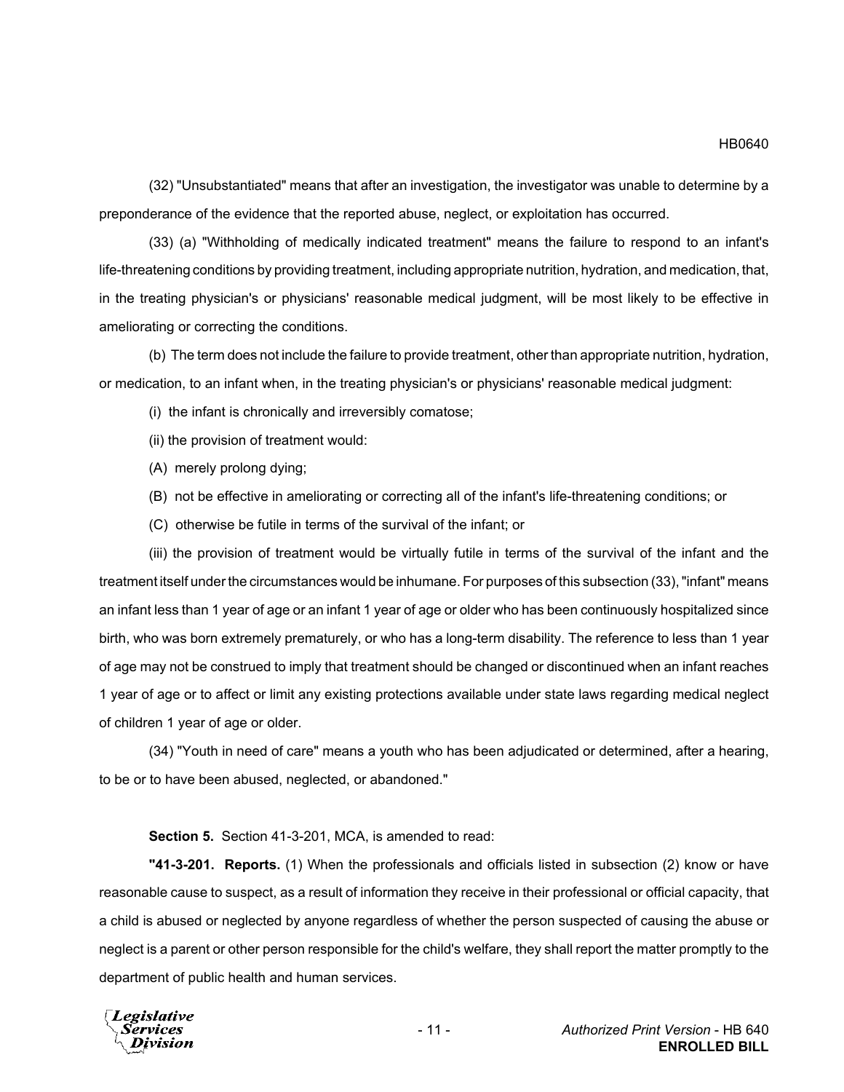(32) "Unsubstantiated" means that after an investigation, the investigator was unable to determine by a preponderance of the evidence that the reported abuse, neglect, or exploitation has occurred.

(33) (a) "Withholding of medically indicated treatment" means the failure to respond to an infant's life-threatening conditions by providing treatment, including appropriate nutrition, hydration, and medication, that, in the treating physician's or physicians' reasonable medical judgment, will be most likely to be effective in ameliorating or correcting the conditions.

(b) The term does not include the failure to provide treatment, other than appropriate nutrition, hydration, or medication, to an infant when, in the treating physician's or physicians' reasonable medical judgment:

- (i) the infant is chronically and irreversibly comatose;
- (ii) the provision of treatment would:
- (A) merely prolong dying;
- (B) not be effective in ameliorating or correcting all of the infant's life-threatening conditions; or
- (C) otherwise be futile in terms of the survival of the infant; or

(iii) the provision of treatment would be virtually futile in terms of the survival of the infant and the treatment itself under the circumstances would be inhumane. For purposes of this subsection (33), "infant" means an infant less than 1 year of age or an infant 1 year of age or older who has been continuously hospitalized since birth, who was born extremely prematurely, or who has a long-term disability. The reference to less than 1 year of age may not be construed to imply that treatment should be changed or discontinued when an infant reaches 1 year of age or to affect or limit any existing protections available under state laws regarding medical neglect of children 1 year of age or older.

(34) "Youth in need of care" means a youth who has been adjudicated or determined, after a hearing, to be or to have been abused, neglected, or abandoned."

### **Section 5.** Section 41-3-201, MCA, is amended to read:

**"41-3-201. Reports.** (1) When the professionals and officials listed in subsection (2) know or have reasonable cause to suspect, as a result of information they receive in their professional or official capacity, that a child is abused or neglected by anyone regardless of whether the person suspected of causing the abuse or neglect is a parent or other person responsible for the child's welfare, they shall report the matter promptly to the department of public health and human services.

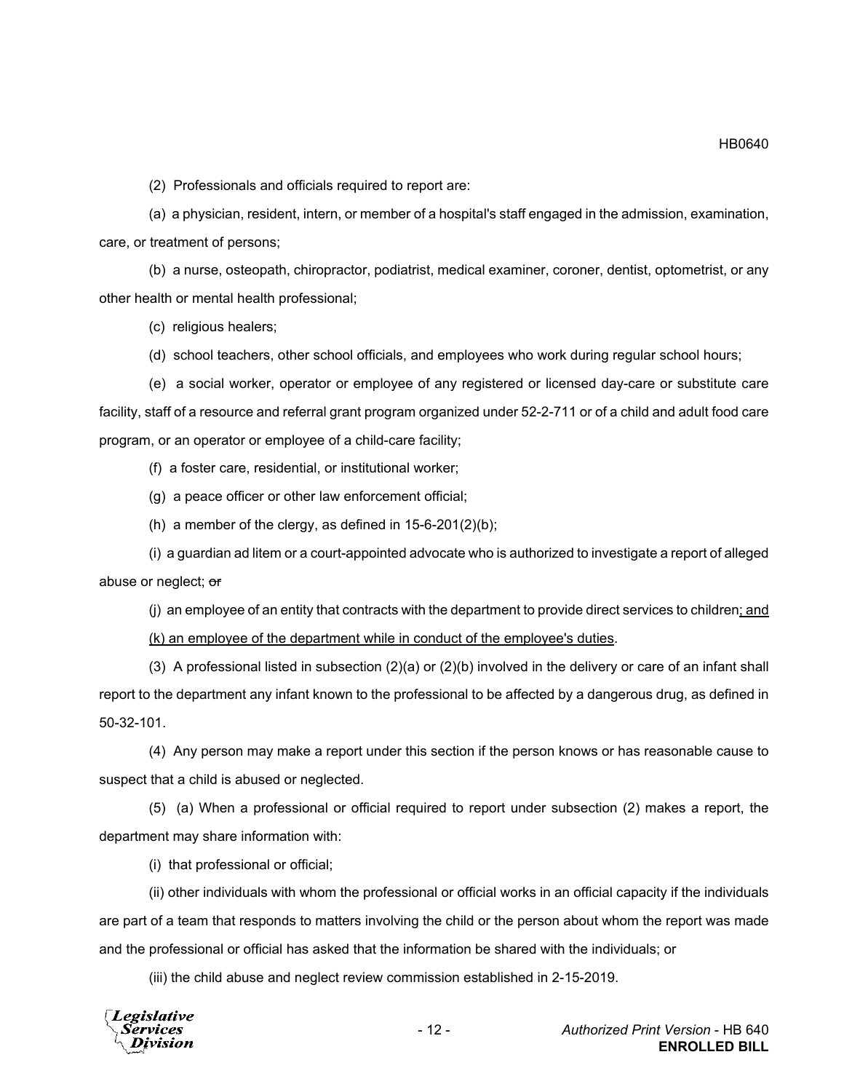(2) Professionals and officials required to report are:

(a) a physician, resident, intern, or member of a hospital's staff engaged in the admission, examination, care, or treatment of persons;

(b) a nurse, osteopath, chiropractor, podiatrist, medical examiner, coroner, dentist, optometrist, or any other health or mental health professional;

(c) religious healers;

(d) school teachers, other school officials, and employees who work during regular school hours;

(e) a social worker, operator or employee of any registered or licensed day-care or substitute care facility, staff of a resource and referral grant program organized under 52-2-711 or of a child and adult food care program, or an operator or employee of a child-care facility;

(f) a foster care, residential, or institutional worker;

(g) a peace officer or other law enforcement official;

(h) a member of the clergy, as defined in 15-6-201(2)(b);

(i) a guardian ad litem or a court-appointed advocate who is authorized to investigate a report of alleged abuse or neglect; or

(j) an employee of an entity that contracts with the department to provide direct services to children; and (k) an employee of the department while in conduct of the employee's duties.

(3) A professional listed in subsection  $(2)(a)$  or  $(2)(b)$  involved in the delivery or care of an infant shall report to the department any infant known to the professional to be affected by a dangerous drug, as defined in 50-32-101.

(4) Any person may make a report under this section if the person knows or has reasonable cause to suspect that a child is abused or neglected.

(5) (a) When a professional or official required to report under subsection (2) makes a report, the department may share information with:

(i) that professional or official;

(ii) other individuals with whom the professional or official works in an official capacity if the individuals are part of a team that responds to matters involving the child or the person about whom the report was made and the professional or official has asked that the information be shared with the individuals; or

(iii) the child abuse and neglect review commission established in 2-15-2019.

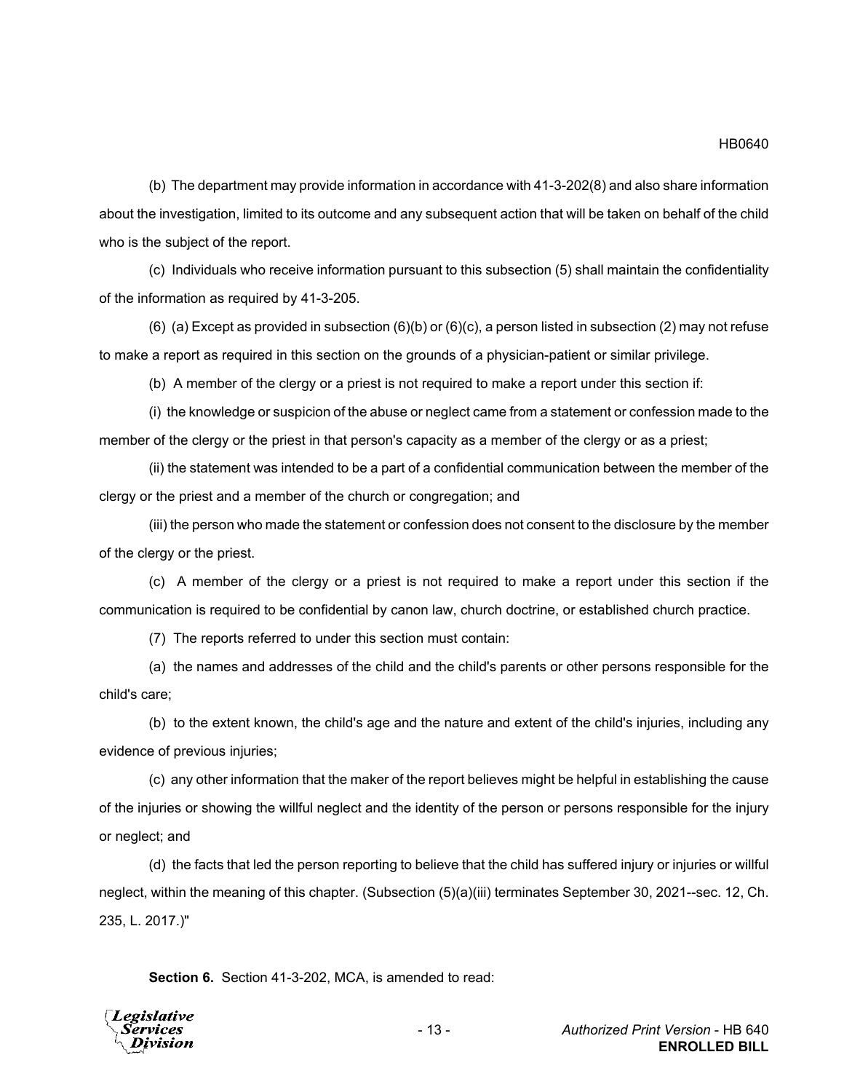(b) The department may provide information in accordance with 41-3-202(8) and also share information about the investigation, limited to its outcome and any subsequent action that will be taken on behalf of the child who is the subject of the report.

(c) Individuals who receive information pursuant to this subsection (5) shall maintain the confidentiality of the information as required by 41-3-205.

(6) (a) Except as provided in subsection  $(6)(b)$  or  $(6)(c)$ , a person listed in subsection (2) may not refuse to make a report as required in this section on the grounds of a physician-patient or similar privilege.

(b) A member of the clergy or a priest is not required to make a report under this section if:

(i) the knowledge or suspicion of the abuse or neglect came from a statement or confession made to the member of the clergy or the priest in that person's capacity as a member of the clergy or as a priest;

(ii) the statement was intended to be a part of a confidential communication between the member of the clergy or the priest and a member of the church or congregation; and

(iii) the person who made the statement or confession does not consent to the disclosure by the member of the clergy or the priest.

(c) A member of the clergy or a priest is not required to make a report under this section if the communication is required to be confidential by canon law, church doctrine, or established church practice.

(7) The reports referred to under this section must contain:

(a) the names and addresses of the child and the child's parents or other persons responsible for the child's care;

(b) to the extent known, the child's age and the nature and extent of the child's injuries, including any evidence of previous injuries;

(c) any other information that the maker of the report believes might be helpful in establishing the cause of the injuries or showing the willful neglect and the identity of the person or persons responsible for the injury or neglect; and

(d) the facts that led the person reporting to believe that the child has suffered injury or injuries or willful neglect, within the meaning of this chapter. (Subsection (5)(a)(iii) terminates September 30, 2021--sec. 12, Ch. 235, L. 2017.)"

**Section 6.** Section 41-3-202, MCA, is amended to read:

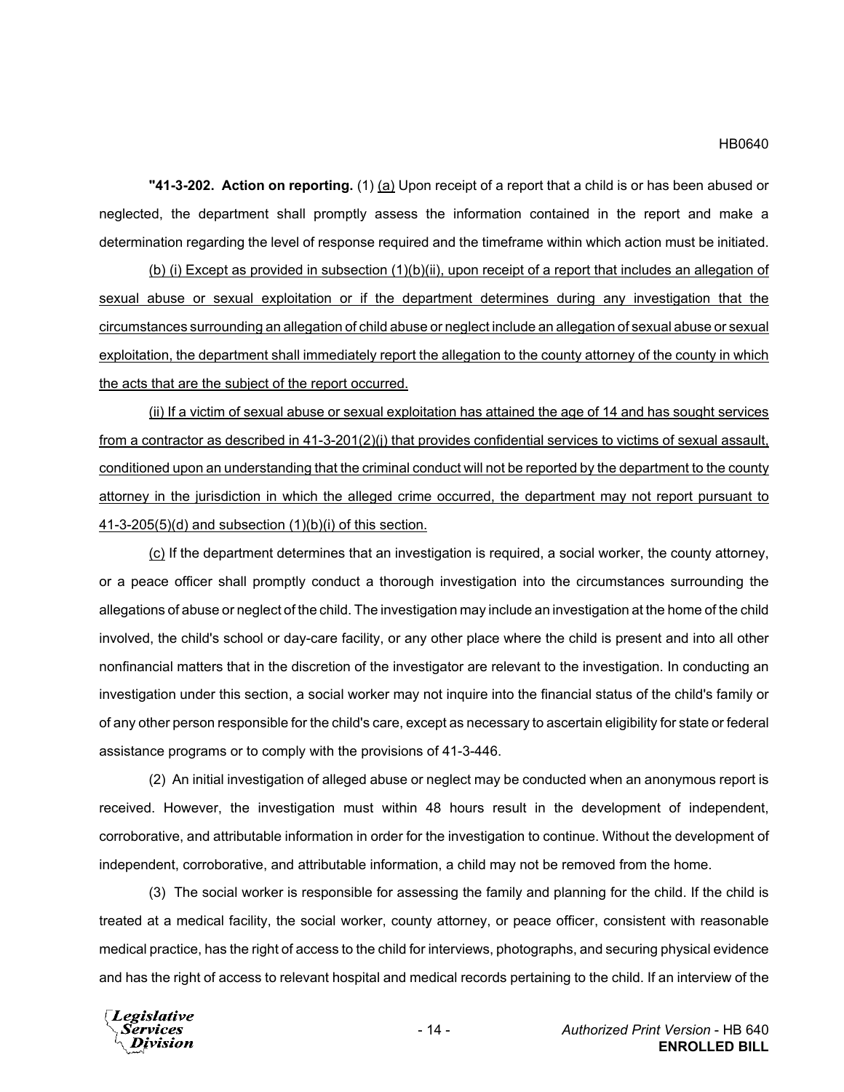#### HB0640

**"41-3-202. Action on reporting.** (1) (a) Upon receipt of a report that a child is or has been abused or neglected, the department shall promptly assess the information contained in the report and make a determination regarding the level of response required and the timeframe within which action must be initiated.

(b) (i) Except as provided in subsection (1)(b)(ii), upon receipt of a report that includes an allegation of sexual abuse or sexual exploitation or if the department determines during any investigation that the circumstances surrounding an allegation of child abuse or neglect include an allegation of sexual abuse or sexual exploitation, the department shall immediately report the allegation to the county attorney of the county in which the acts that are the subject of the report occurred.

(ii) If a victim of sexual abuse or sexual exploitation has attained the age of 14 and has sought services from a contractor as described in 41-3-201(2)(j) that provides confidential services to victims of sexual assault, conditioned upon an understanding that the criminal conduct will not be reported by the department to the county attorney in the jurisdiction in which the alleged crime occurred, the department may not report pursuant to 41-3-205(5)(d) and subsection (1)(b)(i) of this section.

 $(c)$  If the department determines that an investigation is required, a social worker, the county attorney, or a peace officer shall promptly conduct a thorough investigation into the circumstances surrounding the allegations of abuse or neglect of the child. The investigation may include an investigation at the home of the child involved, the child's school or day-care facility, or any other place where the child is present and into all other nonfinancial matters that in the discretion of the investigator are relevant to the investigation. In conducting an investigation under this section, a social worker may not inquire into the financial status of the child's family or of any other person responsible for the child's care, except as necessary to ascertain eligibility for state or federal assistance programs or to comply with the provisions of 41-3-446.

(2) An initial investigation of alleged abuse or neglect may be conducted when an anonymous report is received. However, the investigation must within 48 hours result in the development of independent, corroborative, and attributable information in order for the investigation to continue. Without the development of independent, corroborative, and attributable information, a child may not be removed from the home.

(3) The social worker is responsible for assessing the family and planning for the child. If the child is treated at a medical facility, the social worker, county attorney, or peace officer, consistent with reasonable medical practice, has the right of access to the child for interviews, photographs, and securing physical evidence and has the right of access to relevant hospital and medical records pertaining to the child. If an interview of the

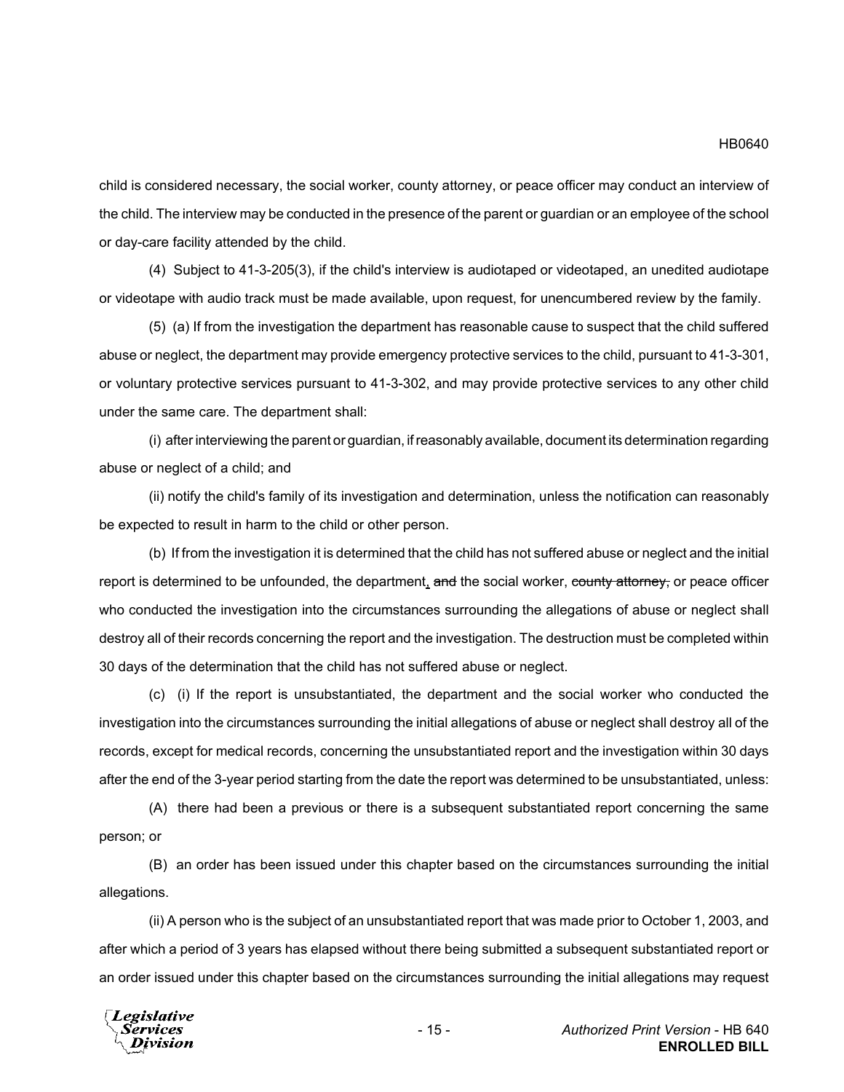child is considered necessary, the social worker, county attorney, or peace officer may conduct an interview of the child. The interview may be conducted in the presence of the parent or guardian or an employee of the school or day-care facility attended by the child.

(4) Subject to 41-3-205(3), if the child's interview is audiotaped or videotaped, an unedited audiotape or videotape with audio track must be made available, upon request, for unencumbered review by the family.

(5) (a) If from the investigation the department has reasonable cause to suspect that the child suffered abuse or neglect, the department may provide emergency protective services to the child, pursuant to 41-3-301, or voluntary protective services pursuant to 41-3-302, and may provide protective services to any other child under the same care. The department shall:

(i) after interviewing the parent or guardian, if reasonably available, document its determination regarding abuse or neglect of a child; and

(ii) notify the child's family of its investigation and determination, unless the notification can reasonably be expected to result in harm to the child or other person.

(b) If from the investigation it is determined that the child has not suffered abuse or neglect and the initial report is determined to be unfounded, the department, and the social worker, county attorney, or peace officer who conducted the investigation into the circumstances surrounding the allegations of abuse or neglect shall destroy all of their records concerning the report and the investigation. The destruction must be completed within 30 days of the determination that the child has not suffered abuse or neglect.

(c) (i) If the report is unsubstantiated, the department and the social worker who conducted the investigation into the circumstances surrounding the initial allegations of abuse or neglect shall destroy all of the records, except for medical records, concerning the unsubstantiated report and the investigation within 30 days after the end of the 3-year period starting from the date the report was determined to be unsubstantiated, unless:

(A) there had been a previous or there is a subsequent substantiated report concerning the same person; or

(B) an order has been issued under this chapter based on the circumstances surrounding the initial allegations.

(ii) A person who is the subject of an unsubstantiated report that was made prior to October 1, 2003, and after which a period of 3 years has elapsed without there being submitted a subsequent substantiated report or an order issued under this chapter based on the circumstances surrounding the initial allegations may request

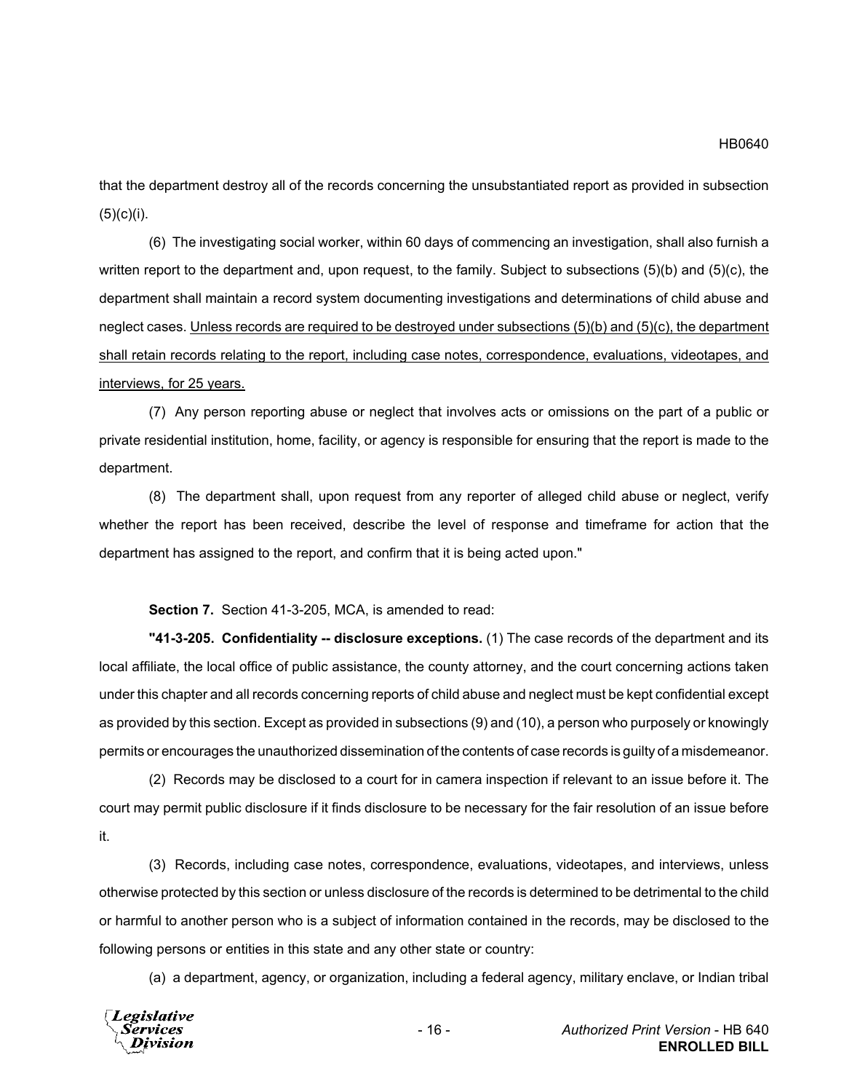that the department destroy all of the records concerning the unsubstantiated report as provided in subsection  $(5)(c)(i)$ .

(6) The investigating social worker, within 60 days of commencing an investigation, shall also furnish a written report to the department and, upon request, to the family. Subject to subsections (5)(b) and (5)(c), the department shall maintain a record system documenting investigations and determinations of child abuse and neglect cases. Unless records are required to be destroyed under subsections (5)(b) and (5)(c), the department shall retain records relating to the report, including case notes, correspondence, evaluations, videotapes, and interviews, for 25 years.

(7) Any person reporting abuse or neglect that involves acts or omissions on the part of a public or private residential institution, home, facility, or agency is responsible for ensuring that the report is made to the department.

(8) The department shall, upon request from any reporter of alleged child abuse or neglect, verify whether the report has been received, describe the level of response and timeframe for action that the department has assigned to the report, and confirm that it is being acted upon."

**Section 7.** Section 41-3-205, MCA, is amended to read:

**"41-3-205. Confidentiality -- disclosure exceptions.** (1) The case records of the department and its local affiliate, the local office of public assistance, the county attorney, and the court concerning actions taken under this chapter and all records concerning reports of child abuse and neglect must be kept confidential except as provided by this section. Except as provided in subsections (9) and (10), a person who purposely or knowingly permits or encourages the unauthorized dissemination of the contents of case records is guilty of a misdemeanor.

(2) Records may be disclosed to a court for in camera inspection if relevant to an issue before it. The court may permit public disclosure if it finds disclosure to be necessary for the fair resolution of an issue before it.

(3) Records, including case notes, correspondence, evaluations, videotapes, and interviews, unless otherwise protected by this section or unless disclosure of the records is determined to be detrimental to the child or harmful to another person who is a subject of information contained in the records, may be disclosed to the following persons or entities in this state and any other state or country:

(a) a department, agency, or organization, including a federal agency, military enclave, or Indian tribal

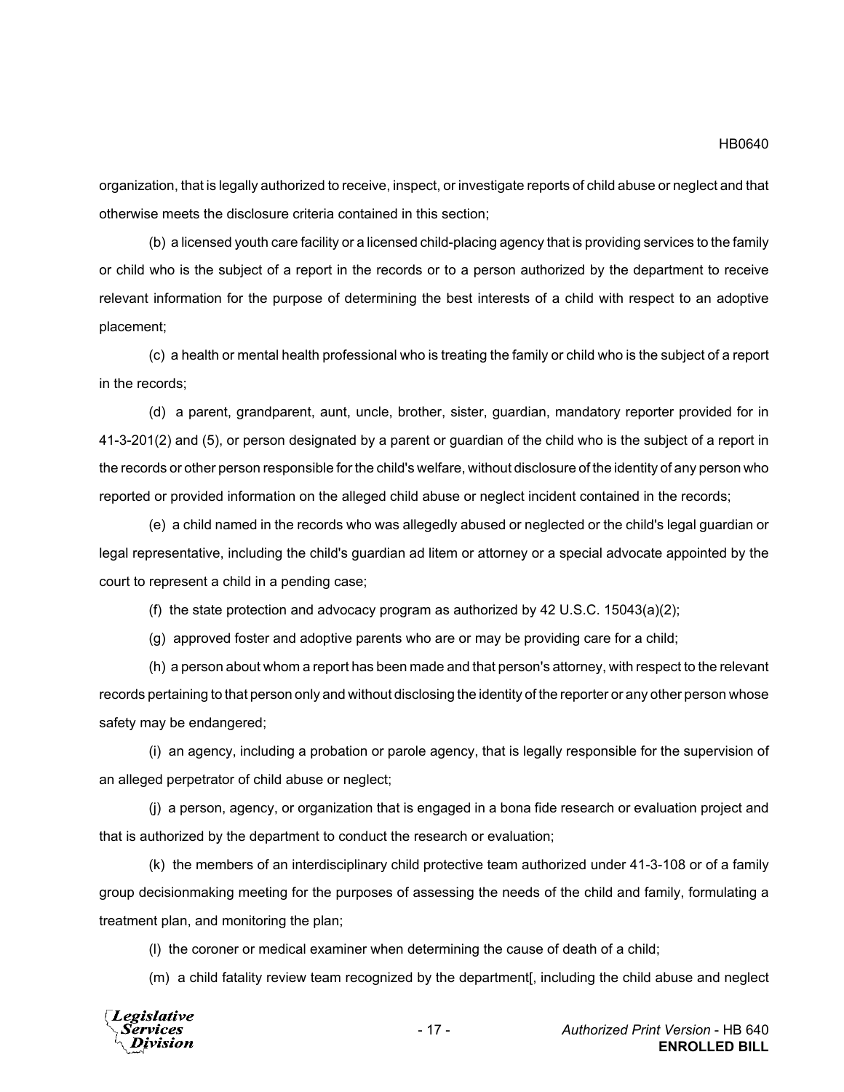organization, that is legally authorized to receive, inspect, or investigate reports of child abuse or neglect and that otherwise meets the disclosure criteria contained in this section;

(b) a licensed youth care facility or a licensed child-placing agency that is providing services to the family or child who is the subject of a report in the records or to a person authorized by the department to receive relevant information for the purpose of determining the best interests of a child with respect to an adoptive placement;

(c) a health or mental health professional who is treating the family or child who is the subject of a report in the records;

(d) a parent, grandparent, aunt, uncle, brother, sister, guardian, mandatory reporter provided for in 41-3-201(2) and (5), or person designated by a parent or guardian of the child who is the subject of a report in the records or other person responsible for the child's welfare, without disclosure of the identity of any person who reported or provided information on the alleged child abuse or neglect incident contained in the records;

(e) a child named in the records who was allegedly abused or neglected or the child's legal guardian or legal representative, including the child's guardian ad litem or attorney or a special advocate appointed by the court to represent a child in a pending case;

(f) the state protection and advocacy program as authorized by 42 U.S.C. 15043(a)(2);

(g) approved foster and adoptive parents who are or may be providing care for a child;

(h) a person about whom a report has been made and that person's attorney, with respect to the relevant records pertaining to that person only and without disclosing the identity of the reporter or any other person whose safety may be endangered;

(i) an agency, including a probation or parole agency, that is legally responsible for the supervision of an alleged perpetrator of child abuse or neglect;

(j) a person, agency, or organization that is engaged in a bona fide research or evaluation project and that is authorized by the department to conduct the research or evaluation;

(k) the members of an interdisciplinary child protective team authorized under 41-3-108 or of a family group decisionmaking meeting for the purposes of assessing the needs of the child and family, formulating a treatment plan, and monitoring the plan;

(l) the coroner or medical examiner when determining the cause of death of a child;

(m) a child fatality review team recognized by the department[, including the child abuse and neglect

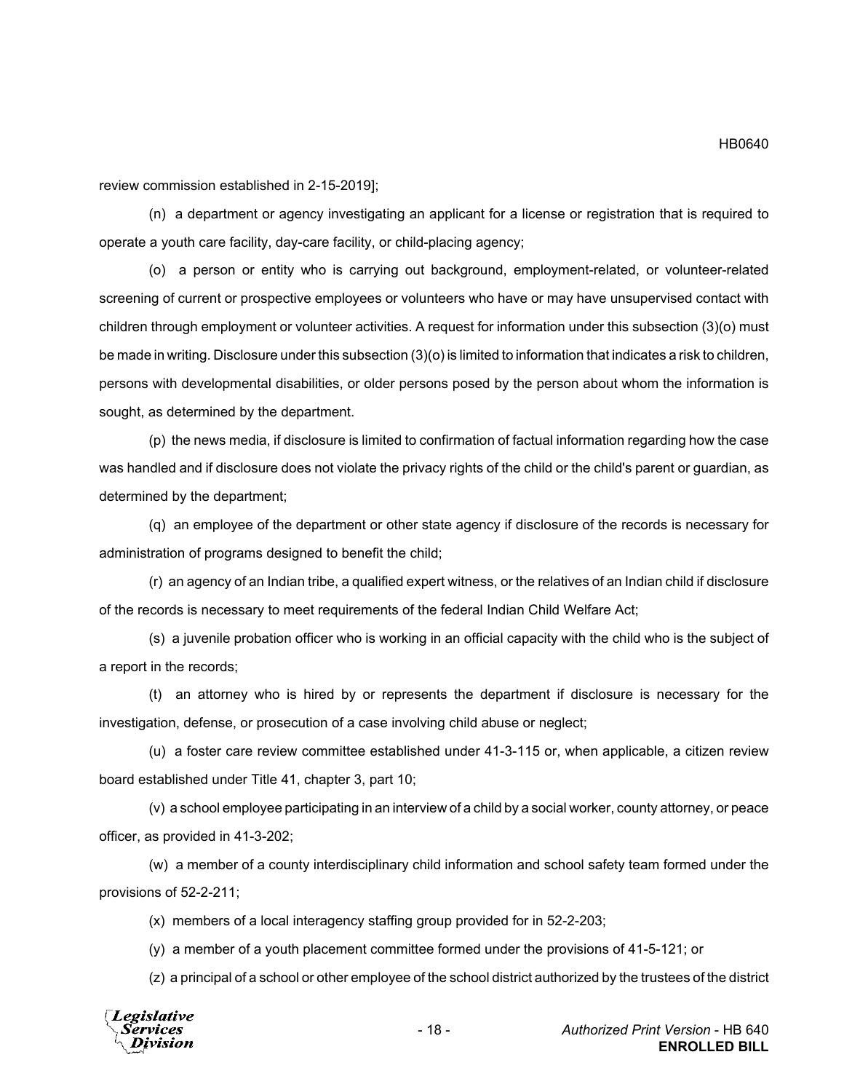review commission established in 2-15-2019];

(n) a department or agency investigating an applicant for a license or registration that is required to operate a youth care facility, day-care facility, or child-placing agency;

(o) a person or entity who is carrying out background, employment-related, or volunteer-related screening of current or prospective employees or volunteers who have or may have unsupervised contact with children through employment or volunteer activities. A request for information under this subsection (3)(o) must be made in writing. Disclosure under this subsection (3)(o) is limited to information that indicates a risk to children, persons with developmental disabilities, or older persons posed by the person about whom the information is sought, as determined by the department.

(p) the news media, if disclosure is limited to confirmation of factual information regarding how the case was handled and if disclosure does not violate the privacy rights of the child or the child's parent or guardian, as determined by the department;

(q) an employee of the department or other state agency if disclosure of the records is necessary for administration of programs designed to benefit the child;

(r) an agency of an Indian tribe, a qualified expert witness, or the relatives of an Indian child if disclosure of the records is necessary to meet requirements of the federal Indian Child Welfare Act;

(s) a juvenile probation officer who is working in an official capacity with the child who is the subject of a report in the records;

(t) an attorney who is hired by or represents the department if disclosure is necessary for the investigation, defense, or prosecution of a case involving child abuse or neglect;

(u) a foster care review committee established under 41-3-115 or, when applicable, a citizen review board established under Title 41, chapter 3, part 10;

(v) a school employee participating in an interview of a child by a social worker, county attorney, or peace officer, as provided in 41-3-202;

(w) a member of a county interdisciplinary child information and school safety team formed under the provisions of 52-2-211;

(x) members of a local interagency staffing group provided for in 52-2-203;

(y) a member of a youth placement committee formed under the provisions of 41-5-121; or

(z) a principal of a school or other employee of the school district authorized by the trustees of the district

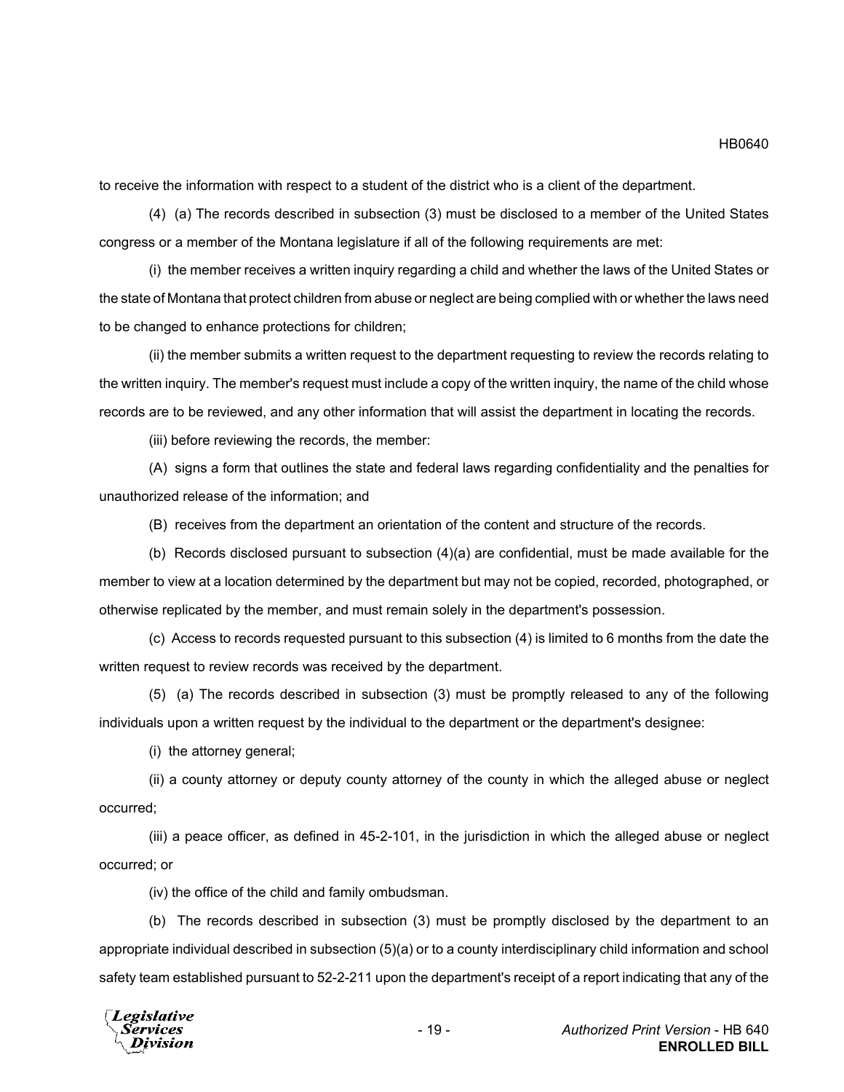to receive the information with respect to a student of the district who is a client of the department.

(4) (a) The records described in subsection (3) must be disclosed to a member of the United States congress or a member of the Montana legislature if all of the following requirements are met:

(i) the member receives a written inquiry regarding a child and whether the laws of the United States or the state of Montana that protect children from abuse or neglect are being complied with or whether the laws need to be changed to enhance protections for children;

(ii) the member submits a written request to the department requesting to review the records relating to the written inquiry. The member's request must include a copy of the written inquiry, the name of the child whose records are to be reviewed, and any other information that will assist the department in locating the records.

(iii) before reviewing the records, the member:

(A) signs a form that outlines the state and federal laws regarding confidentiality and the penalties for unauthorized release of the information; and

(B) receives from the department an orientation of the content and structure of the records.

(b) Records disclosed pursuant to subsection  $(4)(a)$  are confidential, must be made available for the member to view at a location determined by the department but may not be copied, recorded, photographed, or otherwise replicated by the member, and must remain solely in the department's possession.

(c) Access to records requested pursuant to this subsection (4) is limited to 6 months from the date the written request to review records was received by the department.

(5) (a) The records described in subsection (3) must be promptly released to any of the following individuals upon a written request by the individual to the department or the department's designee:

(i) the attorney general;

(ii) a county attorney or deputy county attorney of the county in which the alleged abuse or neglect occurred;

(iii) a peace officer, as defined in 45-2-101, in the jurisdiction in which the alleged abuse or neglect occurred; or

(iv) the office of the child and family ombudsman.

(b) The records described in subsection (3) must be promptly disclosed by the department to an appropriate individual described in subsection (5)(a) or to a county interdisciplinary child information and school safety team established pursuant to 52-2-211 upon the department's receipt of a report indicating that any of the



HB0640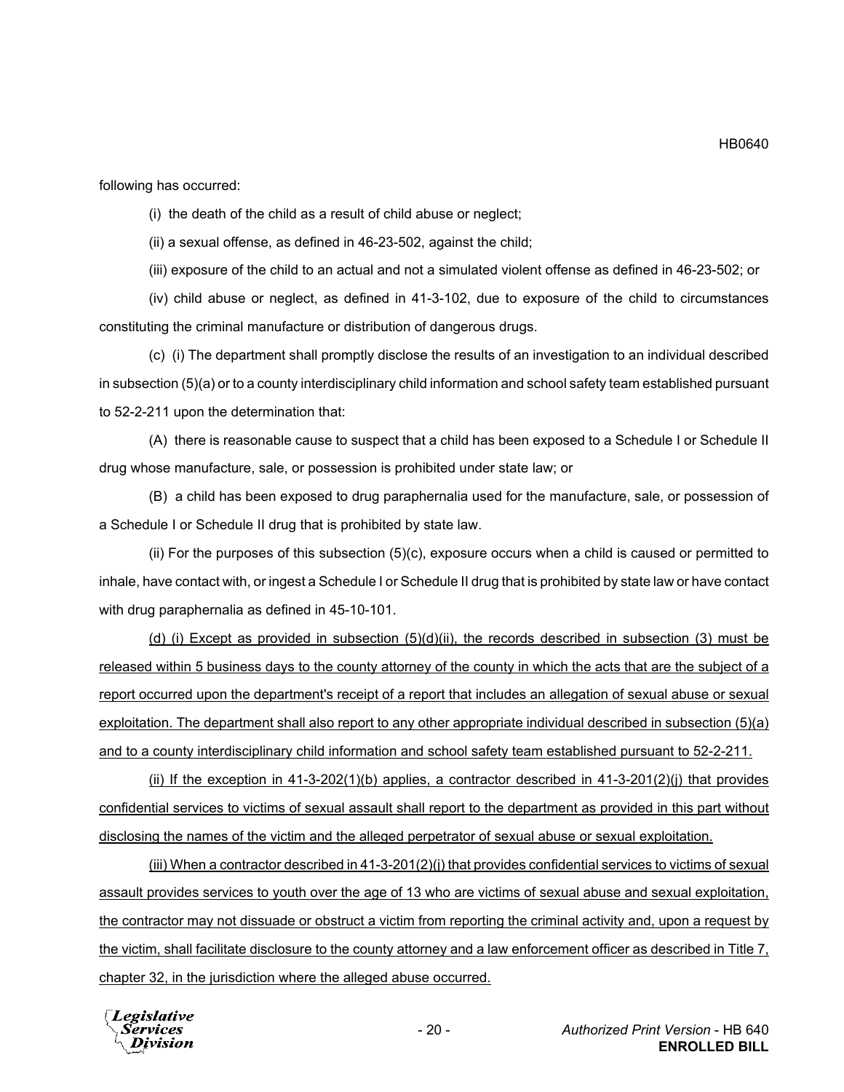following has occurred:

(i) the death of the child as a result of child abuse or neglect;

(ii) a sexual offense, as defined in 46-23-502, against the child;

(iii) exposure of the child to an actual and not a simulated violent offense as defined in 46-23-502; or

(iv) child abuse or neglect, as defined in 41-3-102, due to exposure of the child to circumstances constituting the criminal manufacture or distribution of dangerous drugs.

(c) (i) The department shall promptly disclose the results of an investigation to an individual described in subsection (5)(a) or to a county interdisciplinary child information and school safety team established pursuant to 52-2-211 upon the determination that:

(A) there is reasonable cause to suspect that a child has been exposed to a Schedule I or Schedule II drug whose manufacture, sale, or possession is prohibited under state law; or

(B) a child has been exposed to drug paraphernalia used for the manufacture, sale, or possession of a Schedule I or Schedule II drug that is prohibited by state law.

(ii) For the purposes of this subsection (5)(c), exposure occurs when a child is caused or permitted to inhale, have contact with, or ingest a Schedule I or Schedule II drug that is prohibited by state law or have contact with drug paraphernalia as defined in 45-10-101.

(d) (i) Except as provided in subsection  $(5)(d)(ii)$ , the records described in subsection  $(3)$  must be released within 5 business days to the county attorney of the county in which the acts that are the subject of a report occurred upon the department's receipt of a report that includes an allegation of sexual abuse or sexual exploitation. The department shall also report to any other appropriate individual described in subsection (5)(a) and to a county interdisciplinary child information and school safety team established pursuant to 52-2-211.

(ii) If the exception in  $41-3-202(1)(b)$  applies, a contractor described in  $41-3-201(2)(i)$  that provides confidential services to victims of sexual assault shall report to the department as provided in this part without disclosing the names of the victim and the alleged perpetrator of sexual abuse or sexual exploitation.

(iii) When a contractor described in 41-3-201(2)(j) that provides confidential services to victims of sexual assault provides services to youth over the age of 13 who are victims of sexual abuse and sexual exploitation, the contractor may not dissuade or obstruct a victim from reporting the criminal activity and, upon a request by the victim, shall facilitate disclosure to the county attorney and a law enforcement officer as described in Title 7, chapter 32, in the jurisdiction where the alleged abuse occurred.



HB0640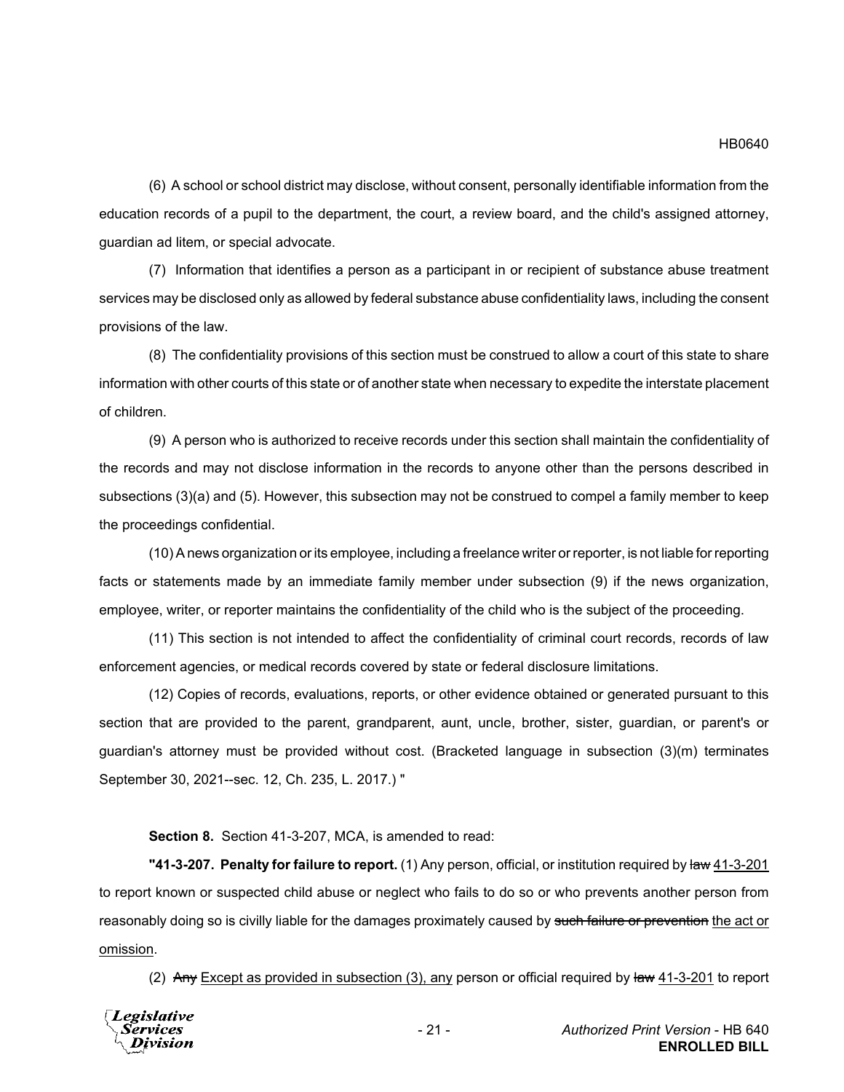(6) A school or school district may disclose, without consent, personally identifiable information from the education records of a pupil to the department, the court, a review board, and the child's assigned attorney, guardian ad litem, or special advocate.

(7) Information that identifies a person as a participant in or recipient of substance abuse treatment services may be disclosed only as allowed by federal substance abuse confidentiality laws, including the consent provisions of the law.

(8) The confidentiality provisions of this section must be construed to allow a court of this state to share information with other courts of this state or of another state when necessary to expedite the interstate placement of children.

(9) A person who is authorized to receive records under this section shall maintain the confidentiality of the records and may not disclose information in the records to anyone other than the persons described in subsections (3)(a) and (5). However, this subsection may not be construed to compel a family member to keep the proceedings confidential.

(10) A news organization or its employee, including a freelance writer or reporter, is not liable for reporting facts or statements made by an immediate family member under subsection (9) if the news organization, employee, writer, or reporter maintains the confidentiality of the child who is the subject of the proceeding.

(11) This section is not intended to affect the confidentiality of criminal court records, records of law enforcement agencies, or medical records covered by state or federal disclosure limitations.

(12) Copies of records, evaluations, reports, or other evidence obtained or generated pursuant to this section that are provided to the parent, grandparent, aunt, uncle, brother, sister, guardian, or parent's or guardian's attorney must be provided without cost. (Bracketed language in subsection (3)(m) terminates September 30, 2021--sec. 12, Ch. 235, L. 2017.) "

**Section 8.** Section 41-3-207, MCA, is amended to read:

**"41-3-207. Penalty for failure to report.** (1) Any person, official, or institution required by law 41-3-201 to report known or suspected child abuse or neglect who fails to do so or who prevents another person from reasonably doing so is civilly liable for the damages proximately caused by such failure or prevention the act or omission.

(2) Any Except as provided in subsection (3), any person or official required by law 41-3-201 to report

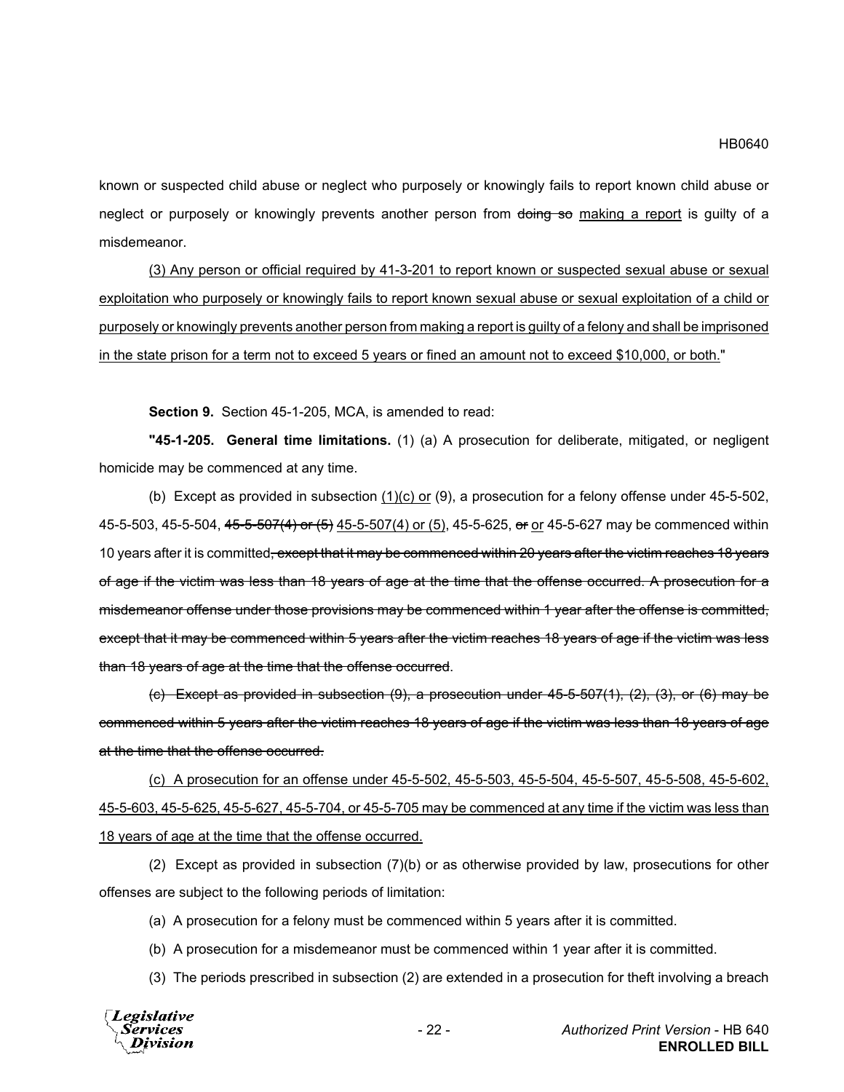known or suspected child abuse or neglect who purposely or knowingly fails to report known child abuse or neglect or purposely or knowingly prevents another person from doing so making a report is quilty of a misdemeanor.

(3) Any person or official required by 41-3-201 to report known or suspected sexual abuse or sexual exploitation who purposely or knowingly fails to report known sexual abuse or sexual exploitation of a child or purposely or knowingly prevents another person from making a report is guilty of a felony and shall be imprisoned in the state prison for a term not to exceed 5 years or fined an amount not to exceed \$10,000, or both."

**Section 9.** Section 45-1-205, MCA, is amended to read:

**"45-1-205. General time limitations.** (1) (a) A prosecution for deliberate, mitigated, or negligent homicide may be commenced at any time.

(b) Except as provided in subsection (1)(c) or (9), a prosecution for a felony offense under 45-5-502, 45-5-503, 45-5-504, 45-5-507(4) or (5) 45-5-507(4) or (5), 45-5-625, or or 45-5-627 may be commenced within 10 years after it is committed<del>, except that it may be commenced within 20 years after the victim reaches 18 years</del> of age if the victim was less than 18 years of age at the time that the offense occurred. A prosecution for a misdemeanor offense under those provisions may be commenced within 1 year after the offense is committed, except that it may be commenced within 5 years after the victim reaches 18 years of age if the victim was less than 18 years of age at the time that the offense occurred.

(c) Except as provided in subsection (9), a prosecution under 45-5-507(1), (2), (3), or (6) may be commenced within 5 years after the victim reaches 18 years of age if the victim was less than 18 years of age at the time that the offense occurred.

(c) A prosecution for an offense under 45-5-502, 45-5-503, 45-5-504, 45-5-507, 45-5-508, 45-5-602, 45-5-603, 45-5-625, 45-5-627, 45-5-704, or 45-5-705 may be commenced at any time if the victim was less than 18 years of age at the time that the offense occurred.

(2) Except as provided in subsection (7)(b) or as otherwise provided by law, prosecutions for other offenses are subject to the following periods of limitation:

(a) A prosecution for a felony must be commenced within 5 years after it is committed.

(b) A prosecution for a misdemeanor must be commenced within 1 year after it is committed.

(3) The periods prescribed in subsection (2) are extended in a prosecution for theft involving a breach

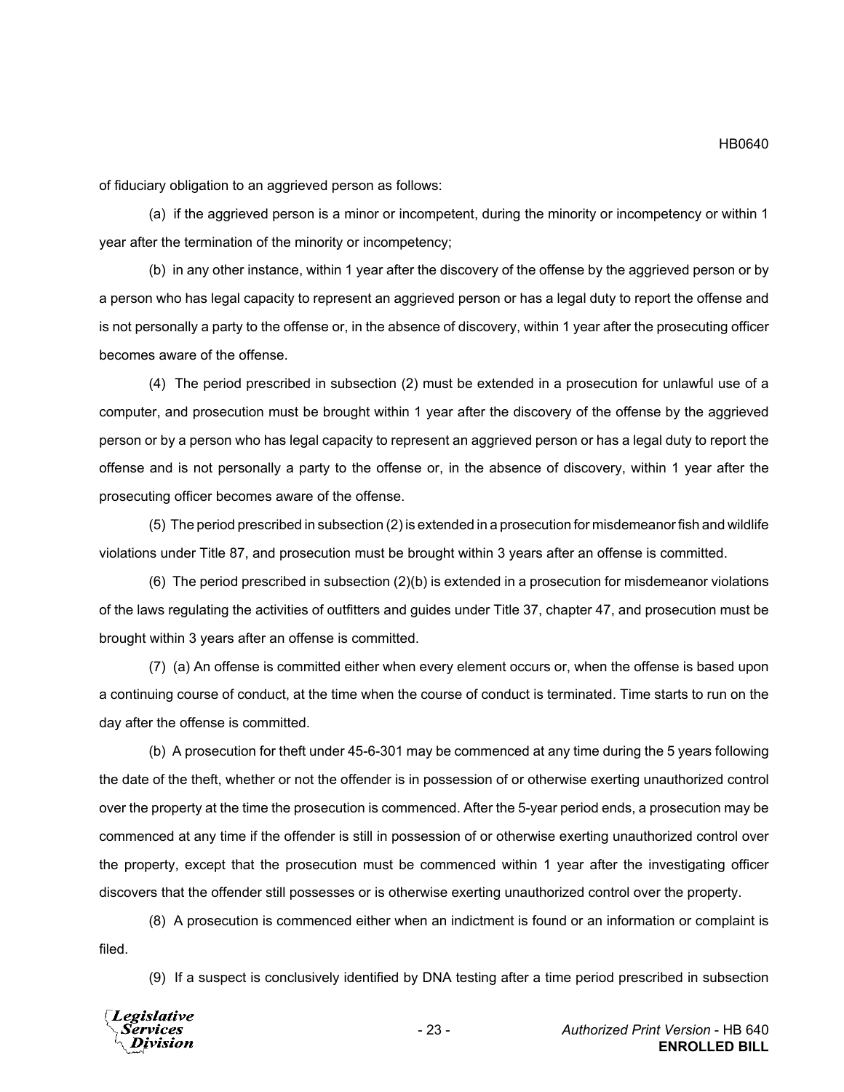of fiduciary obligation to an aggrieved person as follows:

(a) if the aggrieved person is a minor or incompetent, during the minority or incompetency or within 1 year after the termination of the minority or incompetency;

(b) in any other instance, within 1 year after the discovery of the offense by the aggrieved person or by a person who has legal capacity to represent an aggrieved person or has a legal duty to report the offense and is not personally a party to the offense or, in the absence of discovery, within 1 year after the prosecuting officer becomes aware of the offense.

(4) The period prescribed in subsection (2) must be extended in a prosecution for unlawful use of a computer, and prosecution must be brought within 1 year after the discovery of the offense by the aggrieved person or by a person who has legal capacity to represent an aggrieved person or has a legal duty to report the offense and is not personally a party to the offense or, in the absence of discovery, within 1 year after the prosecuting officer becomes aware of the offense.

(5) The period prescribed in subsection (2) is extended in a prosecution for misdemeanor fish and wildlife violations under Title 87, and prosecution must be brought within 3 years after an offense is committed.

(6) The period prescribed in subsection (2)(b) is extended in a prosecution for misdemeanor violations of the laws regulating the activities of outfitters and guides under Title 37, chapter 47, and prosecution must be brought within 3 years after an offense is committed.

(7) (a) An offense is committed either when every element occurs or, when the offense is based upon a continuing course of conduct, at the time when the course of conduct is terminated. Time starts to run on the day after the offense is committed.

(b) A prosecution for theft under 45-6-301 may be commenced at any time during the 5 years following the date of the theft, whether or not the offender is in possession of or otherwise exerting unauthorized control over the property at the time the prosecution is commenced. After the 5-year period ends, a prosecution may be commenced at any time if the offender is still in possession of or otherwise exerting unauthorized control over the property, except that the prosecution must be commenced within 1 year after the investigating officer discovers that the offender still possesses or is otherwise exerting unauthorized control over the property.

(8) A prosecution is commenced either when an indictment is found or an information or complaint is filed.

(9) If a suspect is conclusively identified by DNA testing after a time period prescribed in subsection

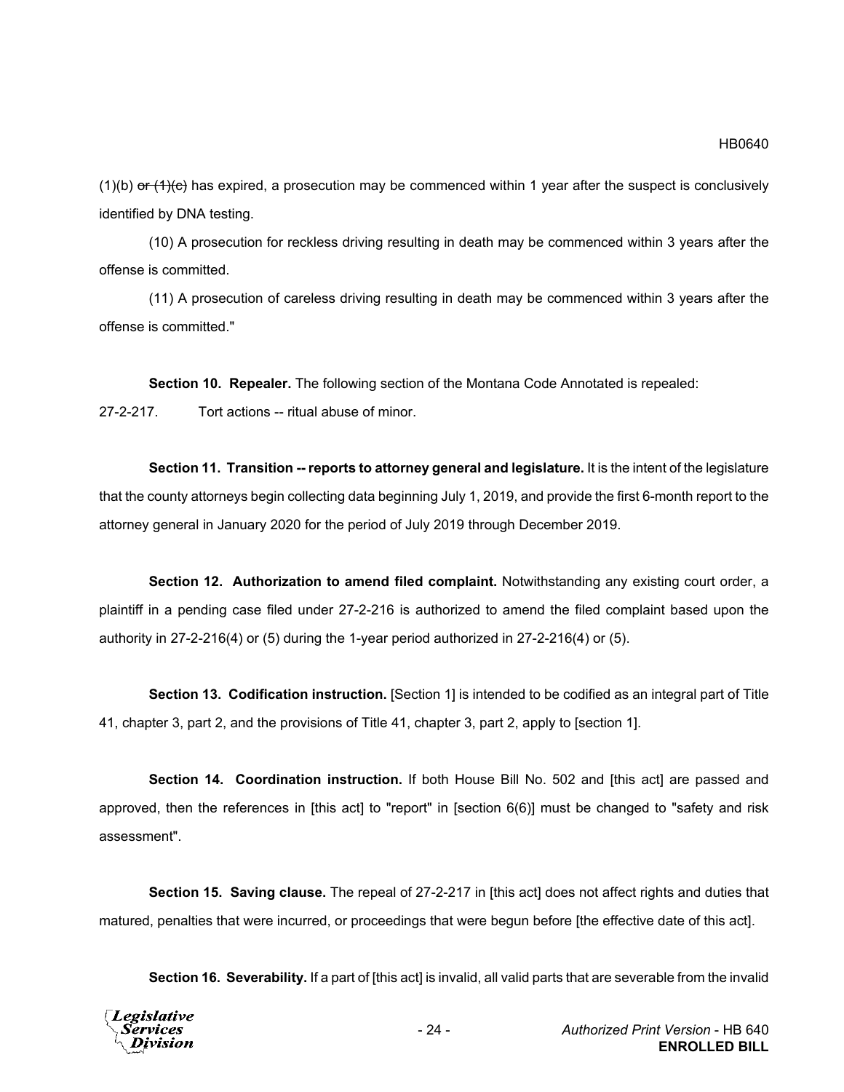$(1)(b)$  or  $(1)(c)$  has expired, a prosecution may be commenced within 1 year after the suspect is conclusively identified by DNA testing.

(10) A prosecution for reckless driving resulting in death may be commenced within 3 years after the offense is committed.

(11) A prosecution of careless driving resulting in death may be commenced within 3 years after the offense is committed."

**Section 10. Repealer.** The following section of the Montana Code Annotated is repealed: 27-2-217. Tort actions -- ritual abuse of minor.

**Section 11. Transition -- reports to attorney general and legislature.** It is the intent of the legislature that the county attorneys begin collecting data beginning July 1, 2019, and provide the first 6-month report to the attorney general in January 2020 for the period of July 2019 through December 2019.

**Section 12. Authorization to amend filed complaint.** Notwithstanding any existing court order, a plaintiff in a pending case filed under 27-2-216 is authorized to amend the filed complaint based upon the authority in 27-2-216(4) or (5) during the 1-year period authorized in 27-2-216(4) or (5).

**Section 13. Codification instruction.** [Section 1] is intended to be codified as an integral part of Title 41, chapter 3, part 2, and the provisions of Title 41, chapter 3, part 2, apply to [section 1].

**Section 14. Coordination instruction.** If both House Bill No. 502 and [this act] are passed and approved, then the references in [this act] to "report" in [section 6(6)] must be changed to "safety and risk assessment".

**Section 15. Saving clause.** The repeal of 27-2-217 in [this act] does not affect rights and duties that matured, penalties that were incurred, or proceedings that were begun before [the effective date of this act].

**Section 16. Severability.** If a part of [this act] is invalid, all valid parts that are severable from the invalid

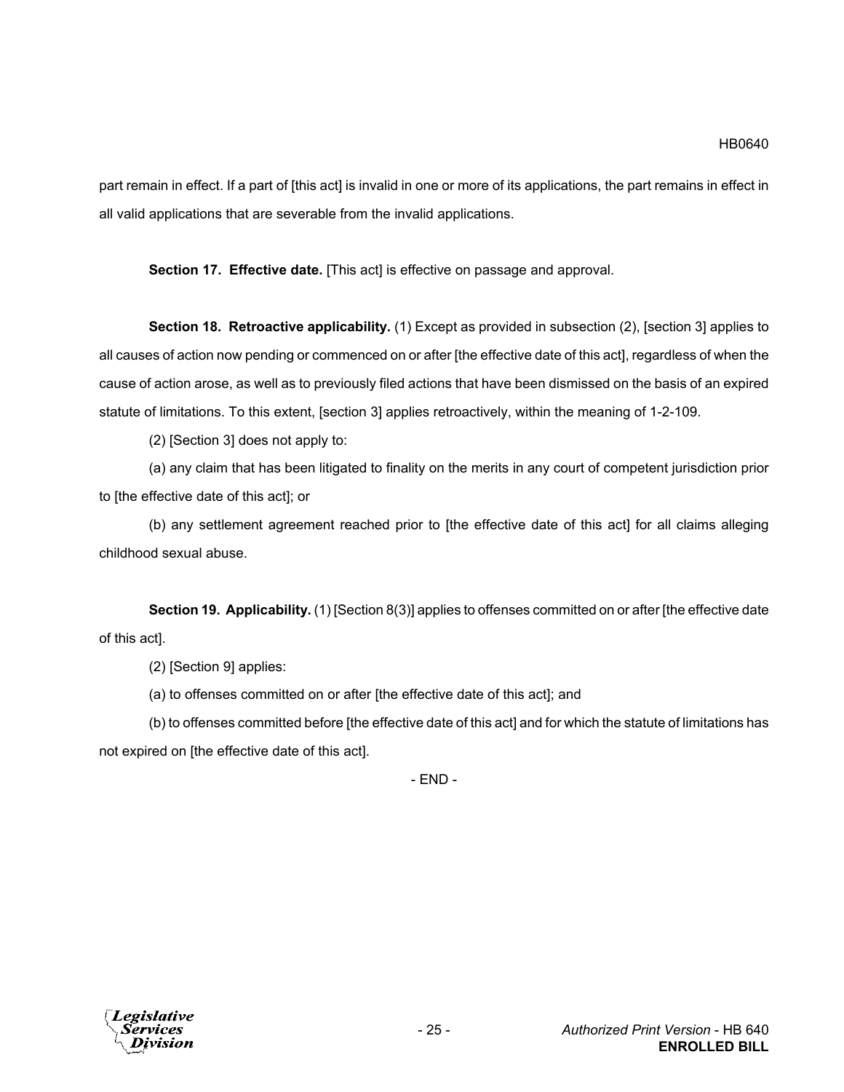part remain in effect. If a part of [this act] is invalid in one or more of its applications, the part remains in effect in all valid applications that are severable from the invalid applications.

**Section 17. Effective date.** [This act] is effective on passage and approval.

**Section 18. Retroactive applicability.** (1) Except as provided in subsection (2), [section 3] applies to all causes of action now pending or commenced on or after [the effective date of this act], regardless of when the cause of action arose, as well as to previously filed actions that have been dismissed on the basis of an expired statute of limitations. To this extent, [section 3] applies retroactively, within the meaning of 1-2-109.

(2) [Section 3] does not apply to:

(a) any claim that has been litigated to finality on the merits in any court of competent jurisdiction prior to [the effective date of this act]; or

(b) any settlement agreement reached prior to [the effective date of this act] for all claims alleging childhood sexual abuse.

**Section 19. Applicability.** (1) [Section 8(3)] applies to offenses committed on or after [the effective date of this act].

(2) [Section 9] applies:

(a) to offenses committed on or after [the effective date of this act]; and

(b) to offenses committed before [the effective date of this act] and for which the statute of limitations has not expired on [the effective date of this act].

- END -

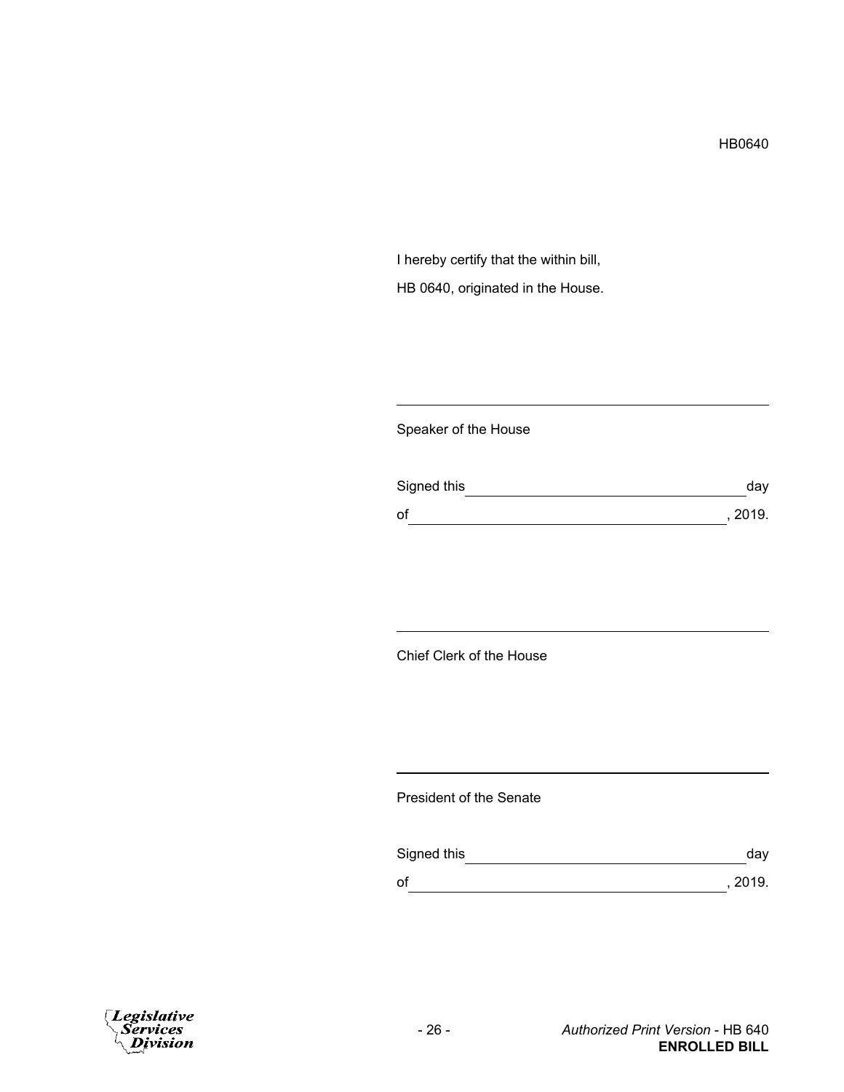I hereby certify that the within bill, HB 0640, originated in the House.

## Speaker of the House

| Signed this | day     |
|-------------|---------|
| of          | , 2019. |

# Chief Clerk of the House

### President of the Senate

| Signed this | dav     |
|-------------|---------|
| оf          | , 2019. |

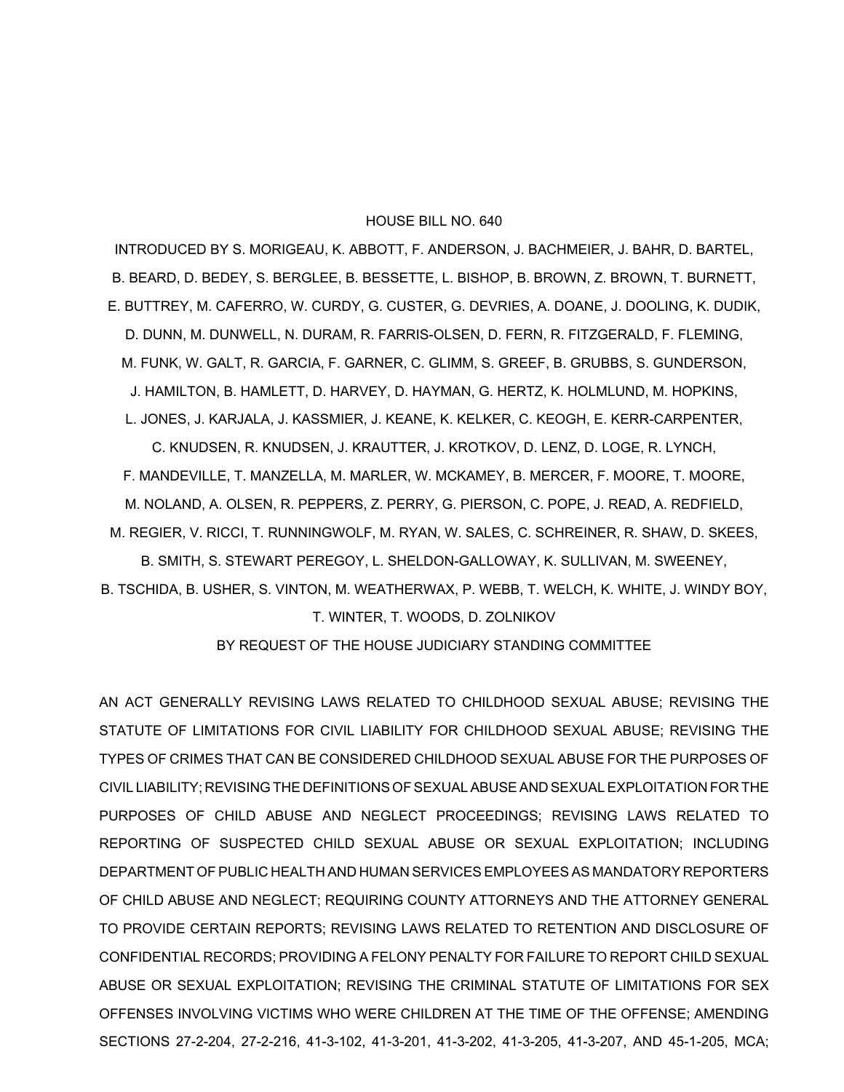#### HOUSE BILL NO. 640

INTRODUCED BY S. MORIGEAU, K. ABBOTT, F. ANDERSON, J. BACHMEIER, J. BAHR, D. BARTEL, B. BEARD, D. BEDEY, S. BERGLEE, B. BESSETTE, L. BISHOP, B. BROWN, Z. BROWN, T. BURNETT, E. BUTTREY, M. CAFERRO, W. CURDY, G. CUSTER, G. DEVRIES, A. DOANE, J. DOOLING, K. DUDIK, D. DUNN, M. DUNWELL, N. DURAM, R. FARRIS-OLSEN, D. FERN, R. FITZGERALD, F. FLEMING, M. FUNK, W. GALT, R. GARCIA, F. GARNER, C. GLIMM, S. GREEF, B. GRUBBS, S. GUNDERSON, J. HAMILTON, B. HAMLETT, D. HARVEY, D. HAYMAN, G. HERTZ, K. HOLMLUND, M. HOPKINS, L. JONES, J. KARJALA, J. KASSMIER, J. KEANE, K. KELKER, C. KEOGH, E. KERR-CARPENTER, C. KNUDSEN, R. KNUDSEN, J. KRAUTTER, J. KROTKOV, D. LENZ, D. LOGE, R. LYNCH, F. MANDEVILLE, T. MANZELLA, M. MARLER, W. MCKAMEY, B. MERCER, F. MOORE, T. MOORE,

M. NOLAND, A. OLSEN, R. PEPPERS, Z. PERRY, G. PIERSON, C. POPE, J. READ, A. REDFIELD, M. REGIER, V. RICCI, T. RUNNINGWOLF, M. RYAN, W. SALES, C. SCHREINER, R. SHAW, D. SKEES,

B. SMITH, S. STEWART PEREGOY, L. SHELDON-GALLOWAY, K. SULLIVAN, M. SWEENEY, B. TSCHIDA, B. USHER, S. VINTON, M. WEATHERWAX, P. WEBB, T. WELCH, K. WHITE, J. WINDY BOY,

T. WINTER, T. WOODS, D. ZOLNIKOV

BY REQUEST OF THE HOUSE JUDICIARY STANDING COMMITTEE

AN ACT GENERALLY REVISING LAWS RELATED TO CHILDHOOD SEXUAL ABUSE; REVISING THE STATUTE OF LIMITATIONS FOR CIVIL LIABILITY FOR CHILDHOOD SEXUAL ABUSE; REVISING THE TYPES OF CRIMES THAT CAN BE CONSIDERED CHILDHOOD SEXUAL ABUSE FOR THE PURPOSES OF CIVIL LIABILITY; REVISING THE DEFINITIONS OF SEXUAL ABUSE AND SEXUAL EXPLOITATION FOR THE PURPOSES OF CHILD ABUSE AND NEGLECT PROCEEDINGS; REVISING LAWS RELATED TO REPORTING OF SUSPECTED CHILD SEXUAL ABUSE OR SEXUAL EXPLOITATION; INCLUDING DEPARTMENT OF PUBLIC HEALTH AND HUMAN SERVICES EMPLOYEES AS MANDATORY REPORTERS OF CHILD ABUSE AND NEGLECT; REQUIRING COUNTY ATTORNEYS AND THE ATTORNEY GENERAL TO PROVIDE CERTAIN REPORTS; REVISING LAWS RELATED TO RETENTION AND DISCLOSURE OF CONFIDENTIAL RECORDS; PROVIDING A FELONY PENALTY FOR FAILURE TO REPORT CHILD SEXUAL ABUSE OR SEXUAL EXPLOITATION; REVISING THE CRIMINAL STATUTE OF LIMITATIONS FOR SEX OFFENSES INVOLVING VICTIMS WHO WERE CHILDREN AT THE TIME OF THE OFFENSE; AMENDING SECTIONS 27-2-204, 27-2-216, 41-3-102, 41-3-201, 41-3-202, 41-3-205, 41-3-207, AND 45-1-205, MCA;